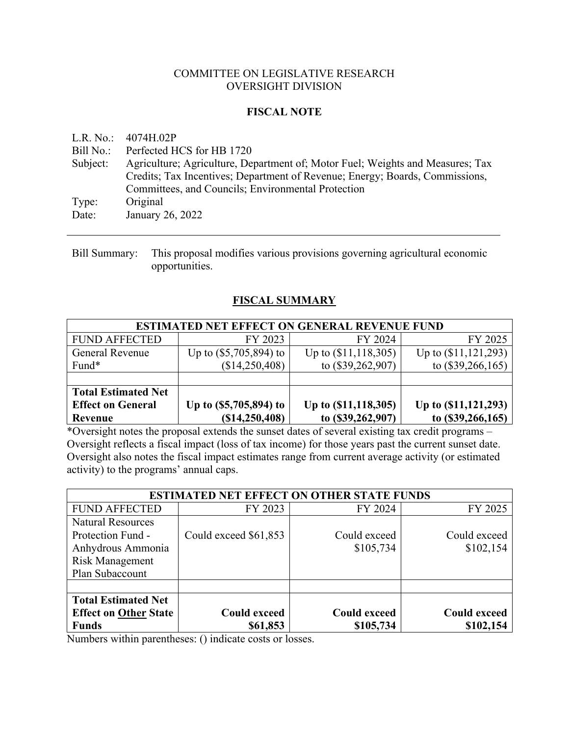### COMMITTEE ON LEGISLATIVE RESEARCH OVERSIGHT DIVISION

### **FISCAL NOTE**

L.R. No.: 4074H.02P

Bill No.: Perfected HCS for HB 1720

Subject: Agriculture; Agriculture, Department of; Motor Fuel; Weights and Measures; Tax Credits; Tax Incentives; Department of Revenue; Energy; Boards, Commissions, Committees, and Councils; Environmental Protection Type: Original Date: January 26, 2022

Bill Summary: This proposal modifies various provisions governing agricultural economic opportunities.

### **FISCAL SUMMARY**

| <b>ESTIMATED NET EFFECT ON GENERAL REVENUE FUND</b> |                          |                          |                          |  |  |  |
|-----------------------------------------------------|--------------------------|--------------------------|--------------------------|--|--|--|
| <b>FUND AFFECTED</b>                                | FY 2023                  | FY 2024                  | FY 2025                  |  |  |  |
| General Revenue                                     | Up to $(\$5,705,894)$ to | Up to $(\$11, 118, 305)$ | Up to $(\$11, 121, 293)$ |  |  |  |
| Fund*                                               | (\$14,250,408)           | to (\$39,262,907)        | to $(\$39,266,165)$      |  |  |  |
|                                                     |                          |                          |                          |  |  |  |
| <b>Total Estimated Net</b>                          |                          |                          |                          |  |  |  |
| <b>Effect on General</b>                            | Up to (\$5,705,894) to   | Up to (\$11,118,305)     | Up to $(S11, 121, 293)$  |  |  |  |
| Revenue                                             | (S14, 250, 408)          | to (\$39,262,907)        | to $(\$39,266,165)$      |  |  |  |

\*Oversight notes the proposal extends the sunset dates of several existing tax credit programs – Oversight reflects a fiscal impact (loss of tax income) for those years past the current sunset date. Oversight also notes the fiscal impact estimates range from current average activity (or estimated activity) to the programs' annual caps.

| <b>ESTIMATED NET EFFECT ON OTHER STATE FUNDS</b> |                       |                     |                     |  |  |
|--------------------------------------------------|-----------------------|---------------------|---------------------|--|--|
| <b>FUND AFFECTED</b>                             | FY 2023               | FY 2024             | FY 2025             |  |  |
| <b>Natural Resources</b>                         |                       |                     |                     |  |  |
| Protection Fund -                                | Could exceed \$61,853 | Could exceed        | Could exceed        |  |  |
| Anhydrous Ammonia                                |                       | \$105,734           | \$102,154           |  |  |
| <b>Risk Management</b>                           |                       |                     |                     |  |  |
| Plan Subaccount                                  |                       |                     |                     |  |  |
|                                                  |                       |                     |                     |  |  |
| <b>Total Estimated Net</b>                       |                       |                     |                     |  |  |
| <b>Effect on Other State</b>                     | <b>Could exceed</b>   | <b>Could exceed</b> | <b>Could exceed</b> |  |  |
| <b>Funds</b>                                     | \$61,853              | \$105,734           | \$102,154           |  |  |

Numbers within parentheses: () indicate costs or losses.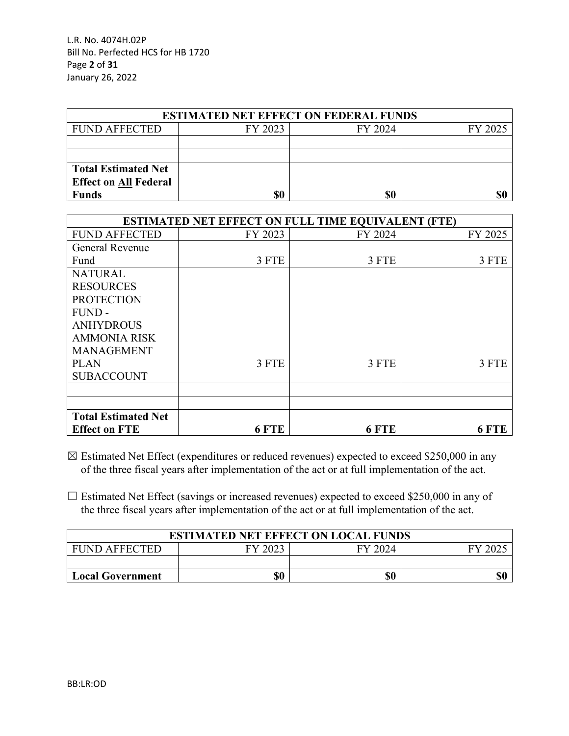L.R. No. 4074H.02P Bill No. Perfected HCS for HB 1720 Page **2** of **31** January 26, 2022

| <b>ESTIMATED NET EFFECT ON FEDERAL FUNDS</b> |         |         |         |  |  |  |
|----------------------------------------------|---------|---------|---------|--|--|--|
| <b>FUND AFFECTED</b>                         | FY 2023 | FY 2024 | FY 2025 |  |  |  |
|                                              |         |         |         |  |  |  |
|                                              |         |         |         |  |  |  |
| <b>Total Estimated Net</b>                   |         |         |         |  |  |  |
| <b>Effect on All Federal</b>                 |         |         |         |  |  |  |
| <b>Funds</b>                                 | \$0     | \$0     |         |  |  |  |

|                            |         | <b>ESTIMATED NET EFFECT ON FULL TIME EQUIVALENT (FTE)</b> |         |
|----------------------------|---------|-----------------------------------------------------------|---------|
| <b>FUND AFFECTED</b>       | FY 2023 | FY 2024                                                   | FY 2025 |
| <b>General Revenue</b>     |         |                                                           |         |
| Fund                       | 3 FTE   | 3 FTE                                                     | 3 FTE   |
| <b>NATURAL</b>             |         |                                                           |         |
| <b>RESOURCES</b>           |         |                                                           |         |
| <b>PROTECTION</b>          |         |                                                           |         |
| FUND-                      |         |                                                           |         |
| <b>ANHYDROUS</b>           |         |                                                           |         |
| <b>AMMONIA RISK</b>        |         |                                                           |         |
| <b>MANAGEMENT</b>          |         |                                                           |         |
| <b>PLAN</b>                | 3 FTE   | 3 FTE                                                     | 3 FTE   |
| <b>SUBACCOUNT</b>          |         |                                                           |         |
|                            |         |                                                           |         |
|                            |         |                                                           |         |
| <b>Total Estimated Net</b> |         |                                                           |         |
| <b>Effect on FTE</b>       | 6 FTE   | 6 FTE                                                     | 6 FTE   |

 $\boxtimes$  Estimated Net Effect (expenditures or reduced revenues) expected to exceed \$250,000 in any of the three fiscal years after implementation of the act or at full implementation of the act.

 $\Box$  Estimated Net Effect (savings or increased revenues) expected to exceed \$250,000 in any of the three fiscal years after implementation of the act or at full implementation of the act.

| <b>ESTIMATED NET EFFECT ON LOCAL FUNDS</b> |         |         |                        |  |  |  |
|--------------------------------------------|---------|---------|------------------------|--|--|--|
| <b>FUND AFFECTED</b>                       | FY 2023 | FY 2024 | $\mathbf{F}\mathbf{V}$ |  |  |  |
|                                            |         |         |                        |  |  |  |
| \$0<br>\$0<br><b>Local Government</b>      |         |         |                        |  |  |  |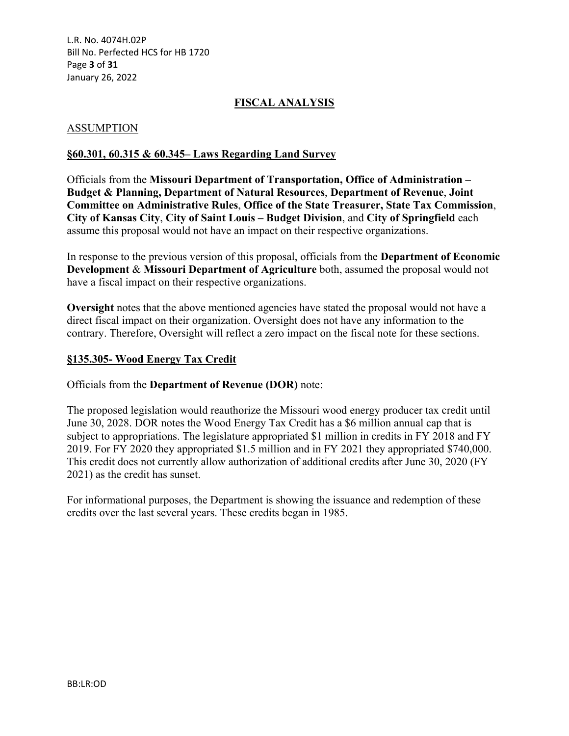L.R. No. 4074H.02P Bill No. Perfected HCS for HB 1720 Page **3** of **31** January 26, 2022

### **FISCAL ANALYSIS**

#### ASSUMPTION

#### **§60.301, 60.315 & 60.345– Laws Regarding Land Survey**

Officials from the **Missouri Department of Transportation, Office of Administration – Budget & Planning, Department of Natural Resources**, **Department of Revenue**, **Joint Committee on Administrative Rules**, **Office of the State Treasurer, State Tax Commission**, **City of Kansas City**, **City of Saint Louis – Budget Division**, and **City of Springfield** each assume this proposal would not have an impact on their respective organizations.

In response to the previous version of this proposal, officials from the **Department of Economic Development** & **Missouri Department of Agriculture** both, assumed the proposal would not have a fiscal impact on their respective organizations.

**Oversight** notes that the above mentioned agencies have stated the proposal would not have a direct fiscal impact on their organization. Oversight does not have any information to the contrary. Therefore, Oversight will reflect a zero impact on the fiscal note for these sections.

#### **§135.305- Wood Energy Tax Credit**

Officials from the **Department of Revenue (DOR)** note:

The proposed legislation would reauthorize the Missouri wood energy producer tax credit until June 30, 2028. DOR notes the Wood Energy Tax Credit has a \$6 million annual cap that is subject to appropriations. The legislature appropriated \$1 million in credits in FY 2018 and FY 2019. For FY 2020 they appropriated \$1.5 million and in FY 2021 they appropriated \$740,000. This credit does not currently allow authorization of additional credits after June 30, 2020 (FY 2021) as the credit has sunset.

For informational purposes, the Department is showing the issuance and redemption of these credits over the last several years. These credits began in 1985.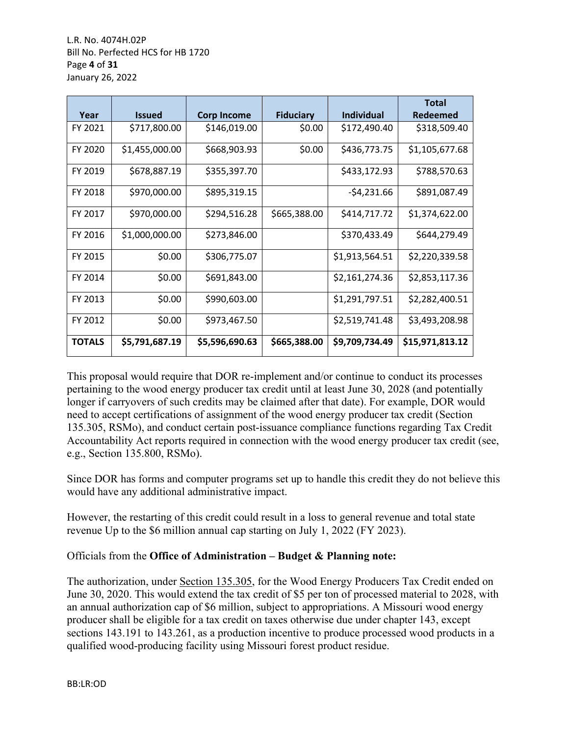L.R. No. 4074H.02P Bill No. Perfected HCS for HB 1720 Page **4** of **31** January 26, 2022

| Year          | <b>Issued</b>  | <b>Corp Income</b> | <b>Fiduciary</b> | <b>Individual</b> | <b>Total</b><br>Redeemed |
|---------------|----------------|--------------------|------------------|-------------------|--------------------------|
| FY 2021       | \$717,800.00   | \$146,019.00       | \$0.00           | \$172,490.40      | \$318,509.40             |
| FY 2020       | \$1,455,000.00 | \$668,903.93       | \$0.00           | \$436,773.75      | \$1,105,677.68           |
| FY 2019       | \$678,887.19   | \$355,397.70       |                  | \$433,172.93      | \$788,570.63             |
| FY 2018       | \$970,000.00   | \$895,319.15       |                  | $-54,231.66$      | \$891,087.49             |
| FY 2017       | \$970,000.00   | \$294,516.28       | \$665,388.00     | \$414,717.72      | \$1,374,622.00           |
| FY 2016       | \$1,000,000.00 | \$273,846.00       |                  | \$370,433.49      | \$644,279.49             |
| FY 2015       | \$0.00         | \$306,775.07       |                  | \$1,913,564.51    | \$2,220,339.58           |
| FY 2014       | \$0.00         | \$691,843.00       |                  | \$2,161,274.36    | \$2,853,117.36           |
| FY 2013       | \$0.00         | \$990,603.00       |                  | \$1,291,797.51    | \$2,282,400.51           |
| FY 2012       | \$0.00         | \$973,467.50       |                  | \$2,519,741.48    | \$3,493,208.98           |
| <b>TOTALS</b> | \$5,791,687.19 | \$5,596,690.63     | \$665,388.00     | \$9,709,734.49    | \$15,971,813.12          |

This proposal would require that DOR re-implement and/or continue to conduct its processes pertaining to the wood energy producer tax credit until at least June 30, 2028 (and potentially longer if carryovers of such credits may be claimed after that date). For example, DOR would need to accept certifications of assignment of the wood energy producer tax credit (Section 135.305, RSMo), and conduct certain post-issuance compliance functions regarding Tax Credit Accountability Act reports required in connection with the wood energy producer tax credit (see, e.g., Section 135.800, RSMo).

Since DOR has forms and computer programs set up to handle this credit they do not believe this would have any additional administrative impact.

However, the restarting of this credit could result in a loss to general revenue and total state revenue Up to the \$6 million annual cap starting on July 1, 2022 (FY 2023).

# Officials from the **Office of Administration – Budget & Planning note:**

The authorization, under Section 135.305, for the Wood Energy Producers Tax Credit ended on June 30, 2020. This would extend the tax credit of \$5 per ton of processed material to 2028, with an annual authorization cap of \$6 million, subject to appropriations. A Missouri wood energy producer shall be eligible for a tax credit on taxes otherwise due under chapter 143, except sections 143.191 to 143.261, as a production incentive to produce processed wood products in a qualified wood-producing facility using Missouri forest product residue.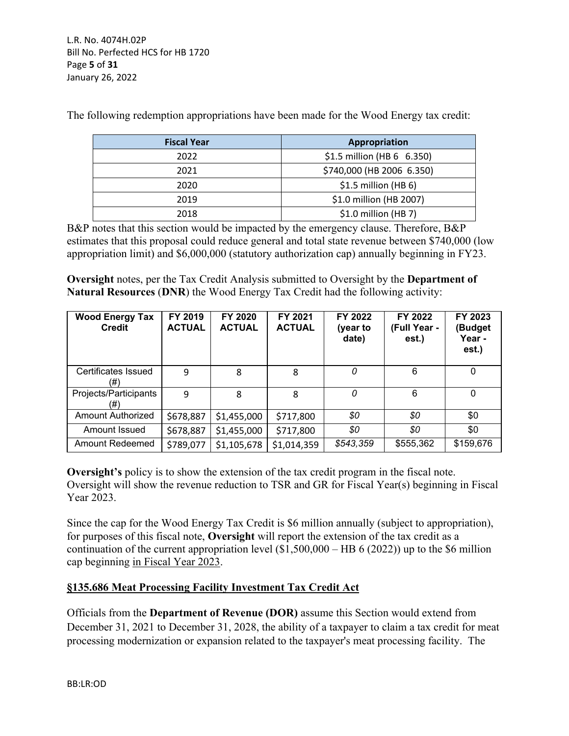L.R. No. 4074H.02P Bill No. Perfected HCS for HB 1720 Page **5** of **31** January 26, 2022

| <b>Fiscal Year</b> | Appropriation              |
|--------------------|----------------------------|
| 2022               | \$1.5 million (HB 6 6.350) |
| 2021               | \$740,000 (HB 2006 6.350)  |
| 2020               | $$1.5$ million (HB 6)      |
| 2019               | \$1.0 million (HB 2007)    |
| 2018               | $$1.0$ million (HB 7)      |

The following redemption appropriations have been made for the Wood Energy tax credit:

B&P notes that this section would be impacted by the emergency clause. Therefore, B&P estimates that this proposal could reduce general and total state revenue between \$740,000 (low appropriation limit) and \$6,000,000 (statutory authorization cap) annually beginning in FY23.

**Oversight** notes, per the Tax Credit Analysis submitted to Oversight by the **Department of Natural Resources** (**DNR**) the Wood Energy Tax Credit had the following activity:

| <b>Wood Energy Tax</b><br><b>Credit</b> | FY 2019<br><b>ACTUAL</b> | FY 2020<br><b>ACTUAL</b> | FY 2021<br><b>ACTUAL</b> | FY 2022<br>(year to<br>date) | FY 2022<br>(Full Year -<br>est.) | FY 2023<br>(Budget<br>Year -<br>est.) |
|-----------------------------------------|--------------------------|--------------------------|--------------------------|------------------------------|----------------------------------|---------------------------------------|
| Certificates Issued<br>(#)              | 9                        | 8                        | 8                        | 0                            | 6                                | $\Omega$                              |
| Projects/Participants<br>(#)            | 9                        | 8                        | 8                        | 0                            | 6                                | $\mathbf{0}$                          |
| <b>Amount Authorized</b>                | \$678,887                | \$1,455,000              | \$717,800                | \$0                          | \$0                              | \$0                                   |
| Amount Issued                           | \$678,887                | \$1,455,000              | \$717,800                | \$0                          | \$0                              | \$0                                   |
| <b>Amount Redeemed</b>                  | \$789,077                | \$1,105,678              | \$1,014,359              | \$543,359                    | \$555,362                        | \$159,676                             |

**Oversight's** policy is to show the extension of the tax credit program in the fiscal note. Oversight will show the revenue reduction to TSR and GR for Fiscal Year(s) beginning in Fiscal Year 2023.

Since the cap for the Wood Energy Tax Credit is \$6 million annually (subject to appropriation), for purposes of this fiscal note, **Oversight** will report the extension of the tax credit as a continuation of the current appropriation level  $(\$1,500,000 - HB 6 (2022))$  up to the \$6 million cap beginning in Fiscal Year 2023.

# **§135.686 Meat Processing Facility Investment Tax Credit Act**

Officials from the **Department of Revenue (DOR)** assume this Section would extend from December 31, 2021 to December 31, 2028, the ability of a taxpayer to claim a tax credit for meat processing modernization or expansion related to the taxpayer's meat processing facility. The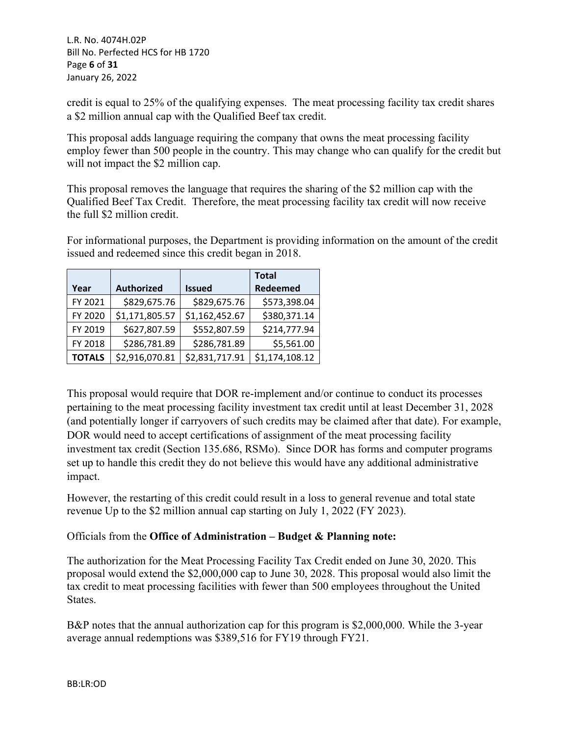credit is equal to 25% of the qualifying expenses. The meat processing facility tax credit shares a \$2 million annual cap with the Qualified Beef tax credit.

This proposal adds language requiring the company that owns the meat processing facility employ fewer than 500 people in the country. This may change who can qualify for the credit but will not impact the \$2 million cap.

This proposal removes the language that requires the sharing of the \$2 million cap with the Qualified Beef Tax Credit. Therefore, the meat processing facility tax credit will now receive the full \$2 million credit.

For informational purposes, the Department is providing information on the amount of the credit issued and redeemed since this credit began in 2018.

|               |                   |                | <b>Total</b>   |
|---------------|-------------------|----------------|----------------|
| Year          | <b>Authorized</b> | <b>Issued</b>  | Redeemed       |
| FY 2021       | \$829,675.76      | \$829,675.76   | \$573,398.04   |
| FY 2020       | \$1,171,805.57    | \$1,162,452.67 | \$380,371.14   |
| FY 2019       | \$627,807.59      | \$552,807.59   | \$214,777.94   |
| FY 2018       | \$286,781.89      | \$286,781.89   | \$5,561.00     |
| <b>TOTALS</b> | \$2,916,070.81    | \$2,831,717.91 | \$1,174,108.12 |

This proposal would require that DOR re-implement and/or continue to conduct its processes pertaining to the meat processing facility investment tax credit until at least December 31, 2028 (and potentially longer if carryovers of such credits may be claimed after that date). For example, DOR would need to accept certifications of assignment of the meat processing facility investment tax credit (Section 135.686, RSMo). Since DOR has forms and computer programs set up to handle this credit they do not believe this would have any additional administrative impact.

However, the restarting of this credit could result in a loss to general revenue and total state revenue Up to the \$2 million annual cap starting on July 1, 2022 (FY 2023).

# Officials from the **Office of Administration – Budget & Planning note:**

The authorization for the Meat Processing Facility Tax Credit ended on June 30, 2020. This proposal would extend the \$2,000,000 cap to June 30, 2028. This proposal would also limit the tax credit to meat processing facilities with fewer than 500 employees throughout the United States.

B&P notes that the annual authorization cap for this program is \$2,000,000. While the 3-year average annual redemptions was \$389,516 for FY19 through FY21.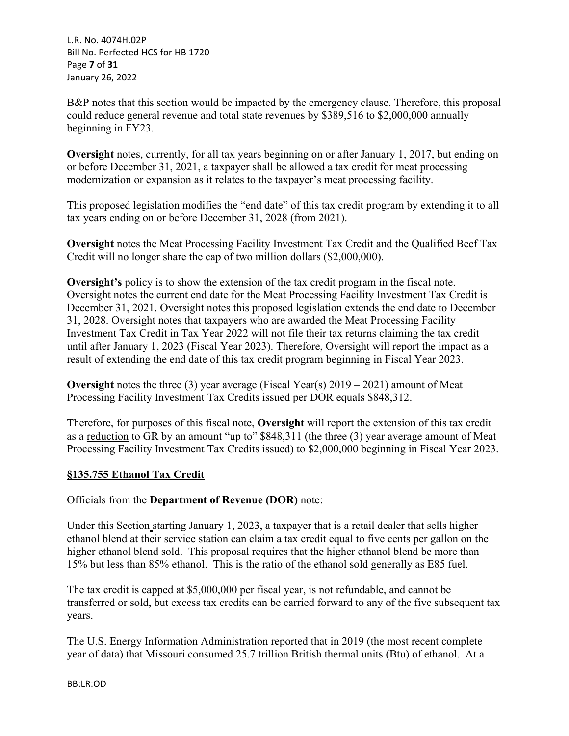L.R. No. 4074H.02P Bill No. Perfected HCS for HB 1720 Page **7** of **31** January 26, 2022

B&P notes that this section would be impacted by the emergency clause. Therefore, this proposal could reduce general revenue and total state revenues by \$389,516 to \$2,000,000 annually beginning in FY23.

**Oversight** notes, currently, for all tax years beginning on or after January 1, 2017, but ending on or before December 31, 2021, a taxpayer shall be allowed a tax credit for meat processing modernization or expansion as it relates to the taxpayer's meat processing facility.

This proposed legislation modifies the "end date" of this tax credit program by extending it to all tax years ending on or before December 31, 2028 (from 2021).

**Oversight** notes the Meat Processing Facility Investment Tax Credit and the Qualified Beef Tax Credit will no longer share the cap of two million dollars (\$2,000,000).

**Oversight's** policy is to show the extension of the tax credit program in the fiscal note. Oversight notes the current end date for the Meat Processing Facility Investment Tax Credit is December 31, 2021. Oversight notes this proposed legislation extends the end date to December 31, 2028. Oversight notes that taxpayers who are awarded the Meat Processing Facility Investment Tax Credit in Tax Year 2022 will not file their tax returns claiming the tax credit until after January 1, 2023 (Fiscal Year 2023). Therefore, Oversight will report the impact as a result of extending the end date of this tax credit program beginning in Fiscal Year 2023.

**Oversight** notes the three (3) year average (Fiscal Year(s) 2019 – 2021) amount of Meat Processing Facility Investment Tax Credits issued per DOR equals \$848,312.

Therefore, for purposes of this fiscal note, **Oversight** will report the extension of this tax credit as a reduction to GR by an amount "up to" \$848,311 (the three (3) year average amount of Meat Processing Facility Investment Tax Credits issued) to \$2,000,000 beginning in Fiscal Year 2023.

# **§135.755 Ethanol Tax Credit**

### Officials from the **Department of Revenue (DOR)** note:

Under this Section starting January 1, 2023, a taxpayer that is a retail dealer that sells higher ethanol blend at their service station can claim a tax credit equal to five cents per gallon on the higher ethanol blend sold. This proposal requires that the higher ethanol blend be more than 15% but less than 85% ethanol. This is the ratio of the ethanol sold generally as E85 fuel.

The tax credit is capped at \$5,000,000 per fiscal year, is not refundable, and cannot be transferred or sold, but excess tax credits can be carried forward to any of the five subsequent tax years.

The U.S. Energy Information Administration reported that in 2019 (the most recent complete year of data) that Missouri consumed 25.7 trillion British thermal units (Btu) of ethanol. At a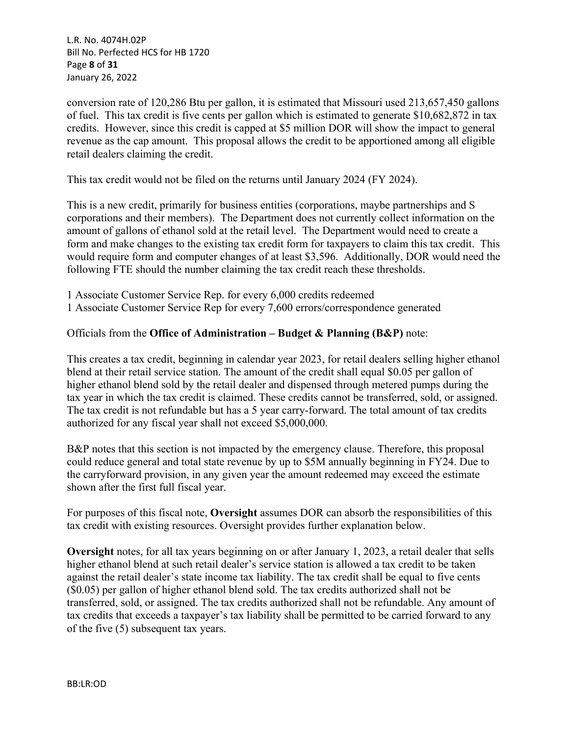L.R. No. 4074H.02P Bill No. Perfected HCS for HB 1720 Page **8** of **31** January 26, 2022

conversion rate of 120,286 Btu per gallon, it is estimated that Missouri used 213,657,450 gallons of fuel. This tax credit is five cents per gallon which is estimated to generate \$10,682,872 in tax credits. However, since this credit is capped at \$5 million DOR will show the impact to general revenue as the cap amount. This proposal allows the credit to be apportioned among all eligible retail dealers claiming the credit.

This tax credit would not be filed on the returns until January 2024 (FY 2024).

This is a new credit, primarily for business entities (corporations, maybe partnerships and S corporations and their members). The Department does not currently collect information on the amount of gallons of ethanol sold at the retail level. The Department would need to create a form and make changes to the existing tax credit form for taxpayers to claim this tax credit. This would require form and computer changes of at least \$3,596. Additionally, DOR would need the following FTE should the number claiming the tax credit reach these thresholds.

1 Associate Customer Service Rep. for every 6,000 credits redeemed

1 Associate Customer Service Rep for every 7,600 errors/correspondence generated

### Officials from the **Office of Administration – Budget & Planning (B&P)** note:

This creates a tax credit, beginning in calendar year 2023, for retail dealers selling higher ethanol blend at their retail service station. The amount of the credit shall equal \$0.05 per gallon of higher ethanol blend sold by the retail dealer and dispensed through metered pumps during the tax year in which the tax credit is claimed. These credits cannot be transferred, sold, or assigned. The tax credit is not refundable but has a 5 year carry-forward. The total amount of tax credits authorized for any fiscal year shall not exceed \$5,000,000.

B&P notes that this section is not impacted by the emergency clause. Therefore, this proposal could reduce general and total state revenue by up to \$5M annually beginning in FY24. Due to the carryforward provision, in any given year the amount redeemed may exceed the estimate shown after the first full fiscal year.

For purposes of this fiscal note, **Oversight** assumes DOR can absorb the responsibilities of this tax credit with existing resources. Oversight provides further explanation below.

**Oversight** notes, for all tax years beginning on or after January 1, 2023, a retail dealer that sells higher ethanol blend at such retail dealer's service station is allowed a tax credit to be taken against the retail dealer's state income tax liability. The tax credit shall be equal to five cents (\$0.05) per gallon of higher ethanol blend sold. The tax credits authorized shall not be transferred, sold, or assigned. The tax credits authorized shall not be refundable. Any amount of tax credits that exceeds a taxpayer's tax liability shall be permitted to be carried forward to any of the five (5) subsequent tax years.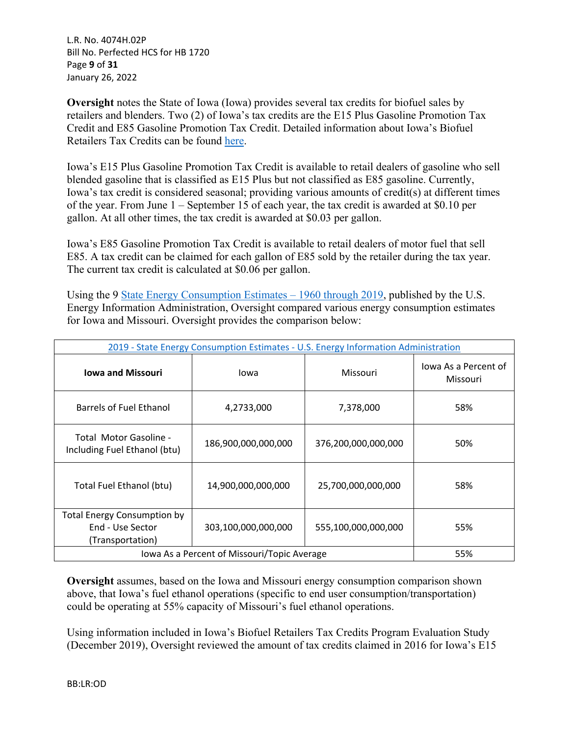L.R. No. 4074H.02P Bill No. Perfected HCS for HB 1720 Page **9** of **31** January 26, 2022

**Oversight** notes the State of Iowa (Iowa) provides several tax credits for biofuel sales by retailers and blenders. Two (2) of Iowa's tax credits are the E15 Plus Gasoline Promotion Tax Credit and E85 Gasoline Promotion Tax Credit. Detailed information about Iowa's Biofuel Retailers Tax Credits can be found [here.](https://tax.iowa.gov/sites/default/files/2020-06/Iowa%20Biofuel%20Retailer%20Tax%20Credits%20Evaluation%20Study%202019.pdf)

Iowa's E15 Plus Gasoline Promotion Tax Credit is available to retail dealers of gasoline who sell blended gasoline that is classified as E15 Plus but not classified as E85 gasoline. Currently, Iowa's tax credit is considered seasonal; providing various amounts of credit(s) at different times of the year. From June  $1 -$  September 15 of each year, the tax credit is awarded at \$0.10 per gallon. At all other times, the tax credit is awarded at \$0.03 per gallon.

Iowa's E85 Gasoline Promotion Tax Credit is available to retail dealers of motor fuel that sell E85. A tax credit can be claimed for each gallon of E85 sold by the retailer during the tax year. The current tax credit is calculated at \$0.06 per gallon.

Using the 9 State Energy Consumption Estimates – 1960 through 2019, published by the U.S. Energy Information Administration, Oversight compared various energy consumption estimates for Iowa and Missouri. Oversight provides the comparison below:

| 2019 - State Energy Consumption Estimates - U.S. Energy Information Administration |                                             |                     |                                  |  |
|------------------------------------------------------------------------------------|---------------------------------------------|---------------------|----------------------------------|--|
| <b>Iowa and Missouri</b>                                                           | Iowa                                        | Missouri            | Jowa As a Percent of<br>Missouri |  |
| Barrels of Fuel Ethanol                                                            | 4,2733,000                                  | 7,378,000           | 58%                              |  |
| Total Motor Gasoline -<br>Including Fuel Ethanol (btu)                             | 186,900,000,000,000                         | 376,200,000,000,000 | 50%                              |  |
| Total Fuel Ethanol (btu)                                                           | 14,900,000,000,000                          | 25,700,000,000,000  | 58%                              |  |
| <b>Total Energy Consumption by</b><br>End - Use Sector<br>(Transportation)         | 303,100,000,000,000                         | 555,100,000,000,000 | 55%                              |  |
|                                                                                    | Iowa As a Percent of Missouri/Topic Average |                     | 55%                              |  |

**Oversight** assumes, based on the Iowa and Missouri energy consumption comparison shown above, that Iowa's fuel ethanol operations (specific to end user consumption/transportation) could be operating at 55% capacity of Missouri's fuel ethanol operations.

Using information included in Iowa's Biofuel Retailers Tax Credits Program Evaluation Study (December 2019), Oversight reviewed the amount of tax credits claimed in 2016 for Iowa's E15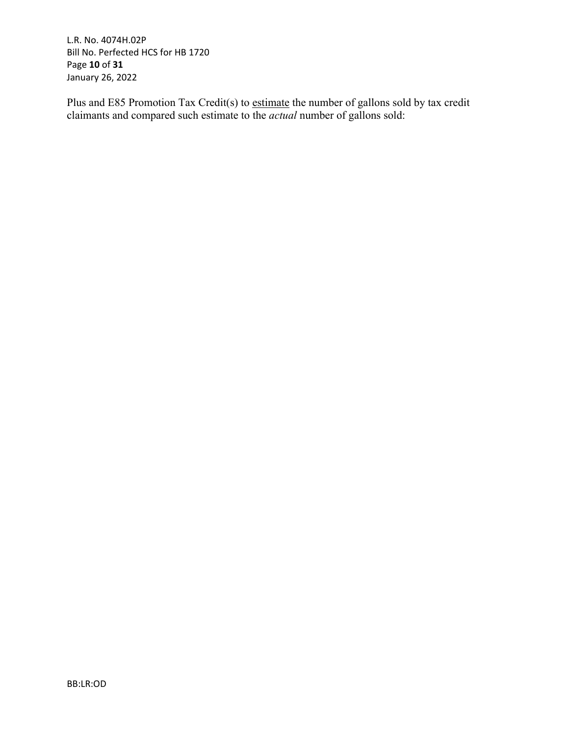L.R. No. 4074H.02P Bill No. Perfected HCS for HB 1720 Page **10** of **31** January 26, 2022

Plus and E85 Promotion Tax Credit(s) to estimate the number of gallons sold by tax credit claimants and compared such estimate to the *actual* number of gallons sold: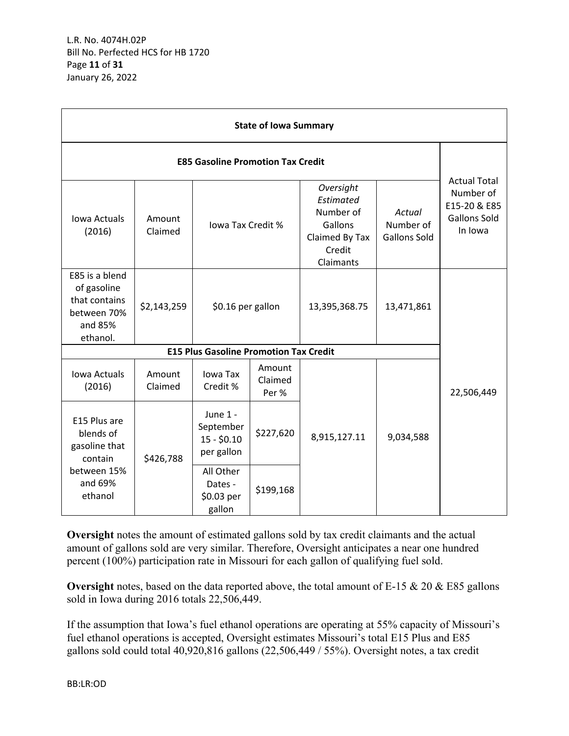L.R. No. 4074H.02P Bill No. Perfected HCS for HB 1720 Page **11** of **31** January 26, 2022

| <b>State of Iowa Summary</b>                                                         |                   |                                                     |                            |                                                                                         |                                            |                                                                                    |  |
|--------------------------------------------------------------------------------------|-------------------|-----------------------------------------------------|----------------------------|-----------------------------------------------------------------------------------------|--------------------------------------------|------------------------------------------------------------------------------------|--|
| <b>E85 Gasoline Promotion Tax Credit</b>                                             |                   |                                                     |                            |                                                                                         |                                            |                                                                                    |  |
| Iowa Actuals<br>(2016)                                                               | Amount<br>Claimed | lowa Tax Credit %                                   |                            | Oversight<br>Estimated<br>Number of<br>Gallons<br>Claimed By Tax<br>Credit<br>Claimants | Actual<br>Number of<br><b>Gallons Sold</b> | <b>Actual Total</b><br>Number of<br>E15-20 & E85<br><b>Gallons Sold</b><br>In Iowa |  |
| E85 is a blend<br>of gasoline<br>that contains<br>between 70%<br>and 85%<br>ethanol. | \$2,143,259       | \$0.16 per gallon                                   |                            | 13,395,368.75                                                                           | 13,471,861                                 |                                                                                    |  |
|                                                                                      |                   | <b>E15 Plus Gasoline Promotion Tax Credit</b>       |                            |                                                                                         |                                            |                                                                                    |  |
| Iowa Actuals<br>(2016)                                                               | Amount<br>Claimed | Iowa Tax<br>Credit %                                | Amount<br>Claimed<br>Per % |                                                                                         |                                            | 22,506,449                                                                         |  |
| E15 Plus are<br>blends of<br>gasoline that<br>contain                                | \$426,788         | June 1 -<br>September<br>$15 - $0.10$<br>per gallon | \$227,620                  | 8,915,127.11                                                                            | 9,034,588                                  |                                                                                    |  |
| between 15%<br>and 69%<br>ethanol                                                    |                   | All Other<br>Dates -<br>\$0.03 per<br>gallon        | \$199,168                  |                                                                                         |                                            |                                                                                    |  |

**Oversight** notes the amount of estimated gallons sold by tax credit claimants and the actual amount of gallons sold are very similar. Therefore, Oversight anticipates a near one hundred percent (100%) participation rate in Missouri for each gallon of qualifying fuel sold.

**Oversight** notes, based on the data reported above, the total amount of E-15 & 20 & E85 gallons sold in Iowa during 2016 totals 22,506,449.

If the assumption that Iowa's fuel ethanol operations are operating at 55% capacity of Missouri's fuel ethanol operations is accepted, Oversight estimates Missouri's total E15 Plus and E85 gallons sold could total 40,920,816 gallons (22,506,449 / 55%). Oversight notes, a tax credit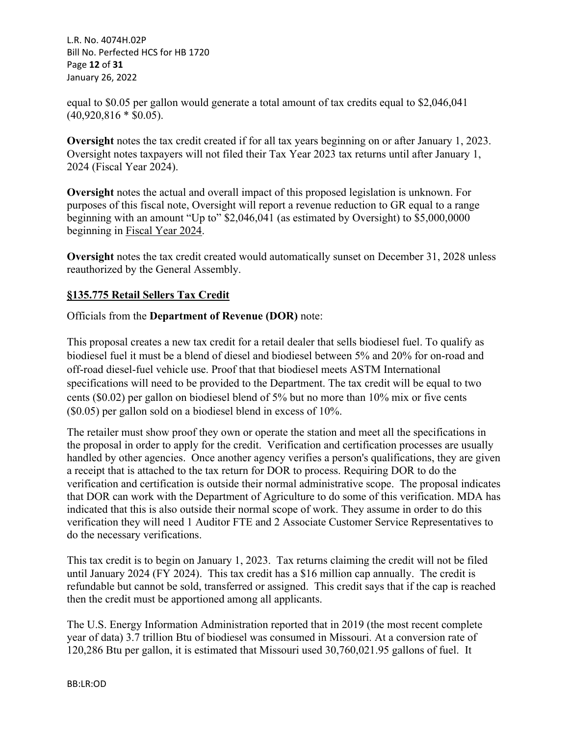L.R. No. 4074H.02P Bill No. Perfected HCS for HB 1720 Page **12** of **31** January 26, 2022

equal to \$0.05 per gallon would generate a total amount of tax credits equal to \$2,046,041  $(40,920,816 * $0.05)$ .

**Oversight** notes the tax credit created if for all tax years beginning on or after January 1, 2023. Oversight notes taxpayers will not filed their Tax Year 2023 tax returns until after January 1, 2024 (Fiscal Year 2024).

**Oversight** notes the actual and overall impact of this proposed legislation is unknown. For purposes of this fiscal note, Oversight will report a revenue reduction to GR equal to a range beginning with an amount "Up to" \$2,046,041 (as estimated by Oversight) to \$5,000,0000 beginning in Fiscal Year 2024.

**Oversight** notes the tax credit created would automatically sunset on December 31, 2028 unless reauthorized by the General Assembly.

# **§135.775 Retail Sellers Tax Credit**

Officials from the **Department of Revenue (DOR)** note:

This proposal creates a new tax credit for a retail dealer that sells biodiesel fuel. To qualify as biodiesel fuel it must be a blend of diesel and biodiesel between 5% and 20% for on-road and off-road diesel-fuel vehicle use. Proof that that biodiesel meets ASTM International specifications will need to be provided to the Department. The tax credit will be equal to two cents (\$0.02) per gallon on biodiesel blend of 5% but no more than 10% mix or five cents (\$0.05) per gallon sold on a biodiesel blend in excess of 10%.

The retailer must show proof they own or operate the station and meet all the specifications in the proposal in order to apply for the credit. Verification and certification processes are usually handled by other agencies. Once another agency verifies a person's qualifications, they are given a receipt that is attached to the tax return for DOR to process. Requiring DOR to do the verification and certification is outside their normal administrative scope. The proposal indicates that DOR can work with the Department of Agriculture to do some of this verification. MDA has indicated that this is also outside their normal scope of work. They assume in order to do this verification they will need 1 Auditor FTE and 2 Associate Customer Service Representatives to do the necessary verifications.

This tax credit is to begin on January 1, 2023. Tax returns claiming the credit will not be filed until January 2024 (FY 2024). This tax credit has a \$16 million cap annually. The credit is refundable but cannot be sold, transferred or assigned. This credit says that if the cap is reached then the credit must be apportioned among all applicants.

The U.S. Energy Information Administration reported that in 2019 (the most recent complete year of data) 3.7 trillion Btu of biodiesel was consumed in Missouri. At a conversion rate of 120,286 Btu per gallon, it is estimated that Missouri used 30,760,021.95 gallons of fuel. It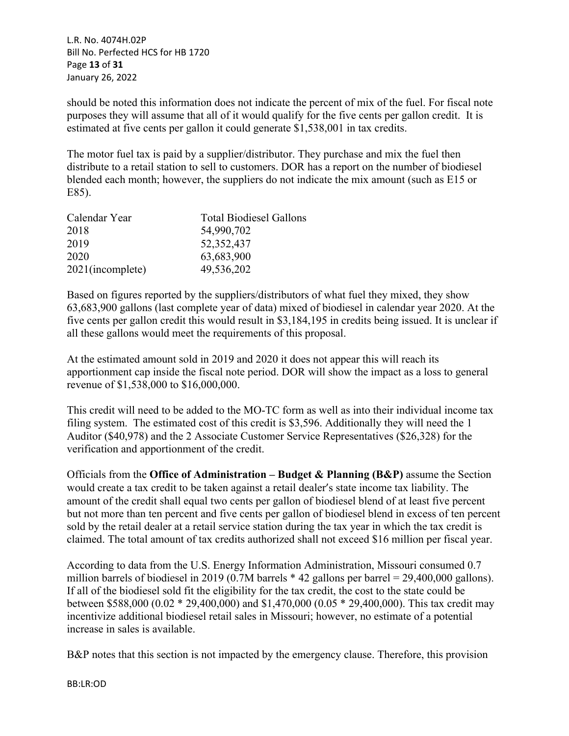L.R. No. 4074H.02P Bill No. Perfected HCS for HB 1720 Page **13** of **31** January 26, 2022

should be noted this information does not indicate the percent of mix of the fuel. For fiscal note purposes they will assume that all of it would qualify for the five cents per gallon credit. It is estimated at five cents per gallon it could generate \$1,538,001 in tax credits.

The motor fuel tax is paid by a supplier/distributor. They purchase and mix the fuel then distribute to a retail station to sell to customers. DOR has a report on the number of biodiesel blended each month; however, the suppliers do not indicate the mix amount (such as E15 or E85).

| <b>Total Biodiesel Gallons</b> |
|--------------------------------|
| 54,990,702                     |
| 52, 352, 437                   |
| 63,683,900                     |
| 49,536,202                     |
|                                |

Based on figures reported by the suppliers/distributors of what fuel they mixed, they show 63,683,900 gallons (last complete year of data) mixed of biodiesel in calendar year 2020. At the five cents per gallon credit this would result in \$3,184,195 in credits being issued. It is unclear if all these gallons would meet the requirements of this proposal.

At the estimated amount sold in 2019 and 2020 it does not appear this will reach its apportionment cap inside the fiscal note period. DOR will show the impact as a loss to general revenue of \$1,538,000 to \$16,000,000.

This credit will need to be added to the MO-TC form as well as into their individual income tax filing system. The estimated cost of this credit is \$3,596. Additionally they will need the 1 Auditor (\$40,978) and the 2 Associate Customer Service Representatives (\$26,328) for the verification and apportionment of the credit.

Officials from the **Office of Administration – Budget & Planning (B&P)** assume the Section would create a tax credit to be taken against a retail dealer's state income tax liability. The amount of the credit shall equal two cents per gallon of biodiesel blend of at least five percent but not more than ten percent and five cents per gallon of biodiesel blend in excess of ten percent sold by the retail dealer at a retail service station during the tax year in which the tax credit is claimed. The total amount of tax credits authorized shall not exceed \$16 million per fiscal year.

According to data from the U.S. Energy Information Administration, Missouri consumed 0.7 million barrels of biodiesel in 2019 (0.7M barrels \* 42 gallons per barrel = 29,400,000 gallons). If all of the biodiesel sold fit the eligibility for the tax credit, the cost to the state could be between \$588,000 (0.02 \* 29,400,000) and \$1,470,000 (0.05 \* 29,400,000). This tax credit may incentivize additional biodiesel retail sales in Missouri; however, no estimate of a potential increase in sales is available.

B&P notes that this section is not impacted by the emergency clause. Therefore, this provision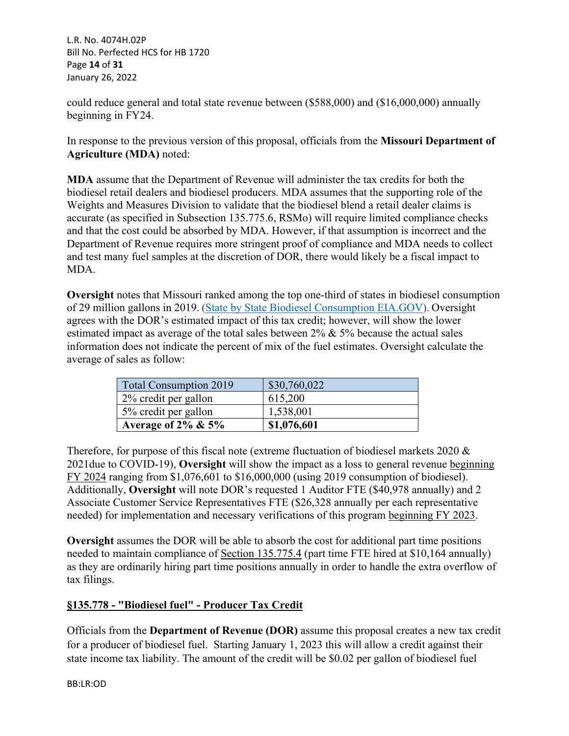L.R. No. 4074H.02P Bill No. Perfected HCS for HB 1720 Page **14** of **31** January 26, 2022

could reduce general and total state revenue between (\$588,000) and (\$16,000,000) annually beginning in FY24.

In response to the previous version of this proposal, officials from the **Missouri Department of Agriculture (MDA)** noted:

**MDA** assume that the Department of Revenue will administer the tax credits for both the biodiesel retail dealers and biodiesel producers. MDA assumes that the supporting role of the Weights and Measures Division to validate that the biodiesel blend a retail dealer claims is accurate (as specified in Subsection 135.775.6, RSMo) will require limited compliance checks and that the cost could be absorbed by MDA. However, if that assumption is incorrect and the Department of Revenue requires more stringent proof of compliance and MDA needs to collect and test many fuel samples at the discretion of DOR, there would likely be a fiscal impact to MDA.

**Oversight** notes that Missouri ranked among the top one-third of states in biodiesel consumption of 29 million gallons in 2019. [\(State by State Biodiesel Consumption EIA.GOV](https://www.eia.gov/state/analysis.php?sid=MO)). Oversight agrees with the DOR's estimated impact of this tax credit; however, will show the lower estimated impact as average of the total sales between  $2\% \& 5\%$  because the actual sales information does not indicate the percent of mix of the fuel estimates. Oversight calculate the average of sales as follow:

| <b>Total Consumption 2019</b> | \$30,760,022 |
|-------------------------------|--------------|
| 2% credit per gallon          | 615,200      |
| 5% credit per gallon          | 1,538,001    |
| Average of $2\% \& 5\%$       | \$1,076,601  |

Therefore, for purpose of this fiscal note (extreme fluctuation of biodiesel markets 2020 & 2021due to COVID-19), **Oversight** will show the impact as a loss to general revenue beginning FY 2024 ranging from \$1,076,601 to \$16,000,000 (using 2019 consumption of biodiesel). Additionally, **Oversight** will note DOR's requested 1 Auditor FTE (\$40,978 annually) and 2 Associate Customer Service Representatives FTE (\$26,328 annually per each representative needed) for implementation and necessary verifications of this program beginning FY 2023.

**Oversight** assumes the DOR will be able to absorb the cost for additional part time positions needed to maintain compliance of Section 135.775.4 (part time FTE hired at \$10,164 annually) as they are ordinarily hiring part time positions annually in order to handle the extra overflow of tax filings.

# **§135.778 - "Biodiesel fuel" - Producer Tax Credit**

Officials from the **Department of Revenue (DOR)** assume this proposal creates a new tax credit for a producer of biodiesel fuel. Starting January 1, 2023 this will allow a credit against their state income tax liability. The amount of the credit will be \$0.02 per gallon of biodiesel fuel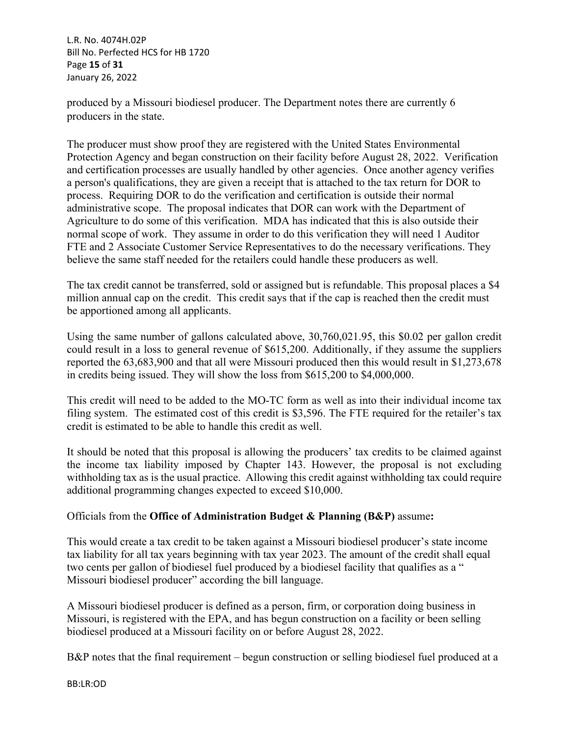L.R. No. 4074H.02P Bill No. Perfected HCS for HB 1720 Page **15** of **31** January 26, 2022

produced by a Missouri biodiesel producer. The Department notes there are currently 6 producers in the state.

The producer must show proof they are registered with the United States Environmental Protection Agency and began construction on their facility before August 28, 2022. Verification and certification processes are usually handled by other agencies. Once another agency verifies a person's qualifications, they are given a receipt that is attached to the tax return for DOR to process. Requiring DOR to do the verification and certification is outside their normal administrative scope. The proposal indicates that DOR can work with the Department of Agriculture to do some of this verification. MDA has indicated that this is also outside their normal scope of work. They assume in order to do this verification they will need 1 Auditor FTE and 2 Associate Customer Service Representatives to do the necessary verifications. They believe the same staff needed for the retailers could handle these producers as well.

The tax credit cannot be transferred, sold or assigned but is refundable. This proposal places a \$4 million annual cap on the credit. This credit says that if the cap is reached then the credit must be apportioned among all applicants.

Using the same number of gallons calculated above, 30,760,021.95, this \$0.02 per gallon credit could result in a loss to general revenue of \$615,200. Additionally, if they assume the suppliers reported the 63,683,900 and that all were Missouri produced then this would result in \$1,273,678 in credits being issued. They will show the loss from \$615,200 to \$4,000,000.

This credit will need to be added to the MO-TC form as well as into their individual income tax filing system. The estimated cost of this credit is \$3,596. The FTE required for the retailer's tax credit is estimated to be able to handle this credit as well.

It should be noted that this proposal is allowing the producers' tax credits to be claimed against the income tax liability imposed by Chapter 143. However, the proposal is not excluding withholding tax as is the usual practice. Allowing this credit against withholding tax could require additional programming changes expected to exceed \$10,000.

# Officials from the **Office of Administration Budget & Planning (B&P)** assume**:**

This would create a tax credit to be taken against a Missouri biodiesel producer's state income tax liability for all tax years beginning with tax year 2023. The amount of the credit shall equal two cents per gallon of biodiesel fuel produced by a biodiesel facility that qualifies as a " Missouri biodiesel producer" according the bill language.

A Missouri biodiesel producer is defined as a person, firm, or corporation doing business in Missouri, is registered with the EPA, and has begun construction on a facility or been selling biodiesel produced at a Missouri facility on or before August 28, 2022.

B&P notes that the final requirement – begun construction or selling biodiesel fuel produced at a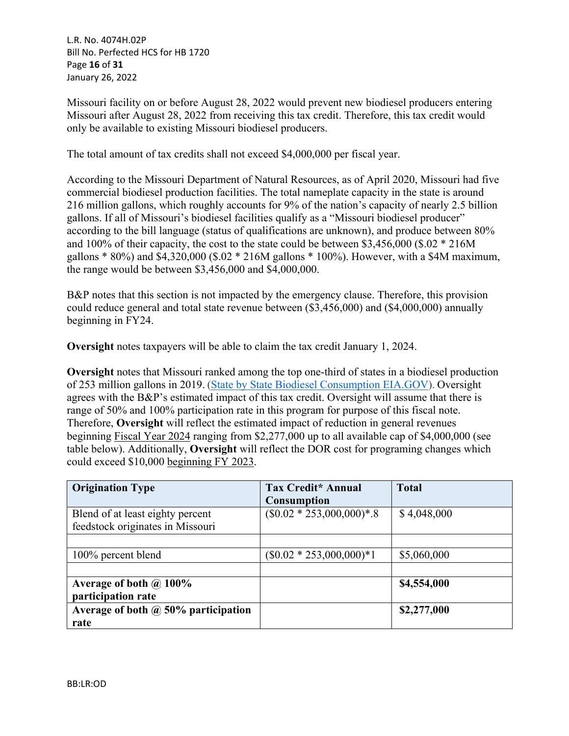L.R. No. 4074H.02P Bill No. Perfected HCS for HB 1720 Page **16** of **31** January 26, 2022

Missouri facility on or before August 28, 2022 would prevent new biodiesel producers entering Missouri after August 28, 2022 from receiving this tax credit. Therefore, this tax credit would only be available to existing Missouri biodiesel producers.

The total amount of tax credits shall not exceed \$4,000,000 per fiscal year.

According to the Missouri Department of Natural Resources, as of April 2020, Missouri had five commercial biodiesel production facilities. The total nameplate capacity in the state is around 216 million gallons, which roughly accounts for 9% of the nation's capacity of nearly 2.5 billion gallons. If all of Missouri's biodiesel facilities qualify as a "Missouri biodiesel producer" according to the bill language (status of qualifications are unknown), and produce between 80% and 100% of their capacity, the cost to the state could be between \$3,456,000 (\$.02 \* 216M gallons \* 80%) and \$4,320,000 (\$.02 \* 216M gallons \* 100%). However, with a \$4M maximum, the range would be between \$3,456,000 and \$4,000,000.

B&P notes that this section is not impacted by the emergency clause. Therefore, this provision could reduce general and total state revenue between (\$3,456,000) and (\$4,000,000) annually beginning in FY24.

**Oversight** notes taxpayers will be able to claim the tax credit January 1, 2024.

**Oversight** notes that Missouri ranked among the top one-third of states in a biodiesel production of 253 million gallons in 2019. [\(State by State Biodiesel Consumption EIA.GOV](https://www.eia.gov/state/analysis.php?sid=MO)). Oversight agrees with the B&P's estimated impact of this tax credit. Oversight will assume that there is range of 50% and 100% participation rate in this program for purpose of this fiscal note. Therefore, **Oversight** will reflect the estimated impact of reduction in general revenues beginning Fiscal Year 2024 ranging from \$2,277,000 up to all available cap of \$4,000,000 (see table below). Additionally, **Oversight** will reflect the DOR cost for programing changes which could exceed \$10,000 beginning FY 2023.

| <b>Origination Type</b>                    | <b>Tax Credit* Annual</b><br><b>Consumption</b> | <b>Total</b> |
|--------------------------------------------|-------------------------------------------------|--------------|
| Blend of at least eighty percent           | $($0.02 * 253,000,000)*.8$                      | \$4,048,000  |
| feedstock originates in Missouri           |                                                 |              |
|                                            |                                                 |              |
| 100% percent blend                         | $(\$0.02 * 253,000,000)*1$                      | \$5,060,000  |
|                                            |                                                 |              |
| Average of both $\omega$ 100%              |                                                 | \$4,554,000  |
| participation rate                         |                                                 |              |
| Average of both $\omega$ 50% participation |                                                 | \$2,277,000  |
| rate                                       |                                                 |              |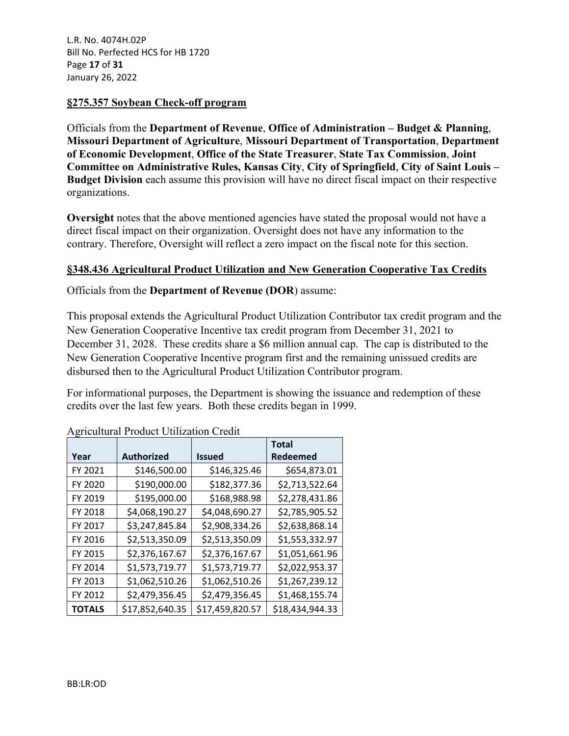L.R. No. 4074H.02P Bill No. Perfected HCS for HB 1720 Page **17** of **31** January 26, 2022

#### **§275.357 Soybean Check-off program**

Officials from the **Department of Revenue**, **Office of Administration – Budget & Planning**, **Missouri Department of Agriculture**, **Missouri Department of Transportation**, **Department of Economic Development**, **Office of the State Treasurer**, **State Tax Commission**, **Joint Committee on Administrative Rules, Kansas City**, **City of Springfield**, **City of Saint Louis – Budget Division** each assume this provision will have no direct fiscal impact on their respective organizations.

**Oversight** notes that the above mentioned agencies have stated the proposal would not have a direct fiscal impact on their organization. Oversight does not have any information to the contrary. Therefore, Oversight will reflect a zero impact on the fiscal note for this section.

### **§348.436 Agricultural Product Utilization and New Generation Cooperative Tax Credits**

Officials from the **Department of Revenue (DOR**) assume:

This proposal extends the Agricultural Product Utilization Contributor tax credit program and the New Generation Cooperative Incentive tax credit program from December 31, 2021 to December 31, 2028. These credits share a \$6 million annual cap. The cap is distributed to the New Generation Cooperative Incentive program first and the remaining unissued credits are disbursed then to the Agricultural Product Utilization Contributor program.

For informational purposes, the Department is showing the issuance and redemption of these credits over the last few years. Both these credits began in 1999.

| o             |                   |                 | <b>Total</b>    |
|---------------|-------------------|-----------------|-----------------|
| Year          | <b>Authorized</b> | <b>Issued</b>   | Redeemed        |
| FY 2021       | \$146,500.00      | \$146,325.46    | \$654,873.01    |
| FY 2020       | \$190,000.00      | \$182,377.36    | \$2,713,522.64  |
| FY 2019       | \$195,000.00      | \$168,988.98    | \$2,278,431.86  |
| FY 2018       | \$4,068,190.27    | \$4,048,690.27  | \$2,785,905.52  |
| FY 2017       | \$3,247,845.84    | \$2,908,334.26  | \$2,638,868.14  |
| FY 2016       | \$2,513,350.09    | \$2,513,350.09  | \$1,553,332.97  |
| FY 2015       | \$2,376,167.67    | \$2,376,167.67  | \$1,051,661.96  |
| FY 2014       | \$1,573,719.77    | \$1,573,719.77  | \$2,022,953.37  |
| FY 2013       | \$1,062,510.26    | \$1,062,510.26  | \$1,267,239.12  |
| FY 2012       | \$2,479,356.45    | \$2,479,356.45  | \$1,468,155.74  |
| <b>TOTALS</b> | \$17,852,640.35   | \$17,459,820.57 | \$18,434,944.33 |

Agricultural Product Utilization Credit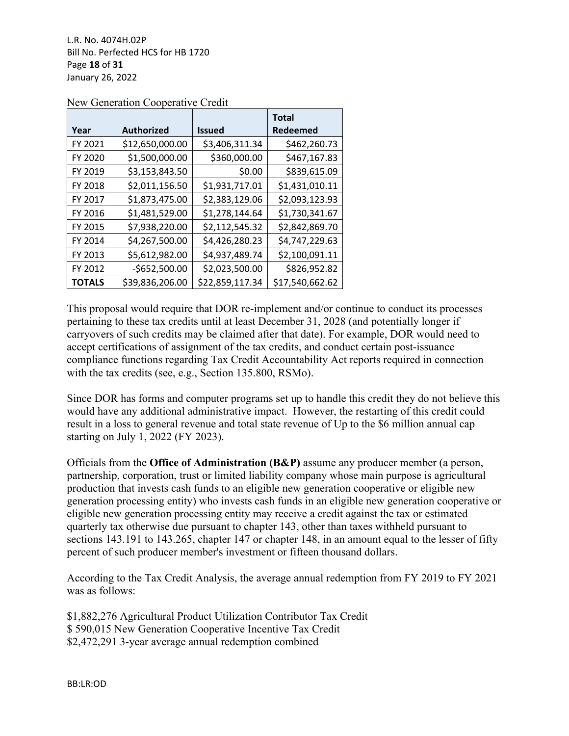L.R. No. 4074H.02P Bill No. Perfected HCS for HB 1720 Page **18** of **31** January 26, 2022

|               |                   |                 | <b>Total</b>    |
|---------------|-------------------|-----------------|-----------------|
| Year          | <b>Authorized</b> | <b>Issued</b>   | Redeemed        |
| FY 2021       | \$12,650,000.00   | \$3,406,311.34  | \$462,260.73    |
| FY 2020       | \$1,500,000.00    | \$360,000.00    | \$467,167.83    |
| FY 2019       | \$3,153,843.50    | \$0.00          | \$839,615.09    |
| FY 2018       | \$2,011,156.50    | \$1,931,717.01  | \$1,431,010.11  |
| FY 2017       | \$1,873,475.00    | \$2,383,129.06  | \$2,093,123.93  |
| FY 2016       | \$1,481,529.00    | \$1,278,144.64  | \$1,730,341.67  |
| FY 2015       | \$7,938,220.00    | \$2,112,545.32  | \$2,842,869.70  |
| FY 2014       | \$4,267,500.00    | \$4,426,280.23  | \$4,747,229.63  |
| FY 2013       | \$5,612,982.00    | \$4,937,489.74  | \$2,100,091.11  |
| FY 2012       | $-5652,500.00$    | \$2,023,500.00  | \$826,952.82    |
| <b>TOTALS</b> | \$39,836,206.00   | \$22,859,117.34 | \$17,540,662.62 |

New Generation Cooperative Credit

This proposal would require that DOR re-implement and/or continue to conduct its processes pertaining to these tax credits until at least December 31, 2028 (and potentially longer if carryovers of such credits may be claimed after that date). For example, DOR would need to accept certifications of assignment of the tax credits, and conduct certain post-issuance compliance functions regarding Tax Credit Accountability Act reports required in connection with the tax credits (see, e.g., Section 135.800, RSMo).

Since DOR has forms and computer programs set up to handle this credit they do not believe this would have any additional administrative impact. However, the restarting of this credit could result in a loss to general revenue and total state revenue of Up to the \$6 million annual cap starting on July 1, 2022 (FY 2023).

Officials from the **Office of Administration (B&P)** assume any producer member (a person, partnership, corporation, trust or limited liability company whose main purpose is agricultural production that invests cash funds to an eligible new generation cooperative or eligible new generation processing entity) who invests cash funds in an eligible new generation cooperative or eligible new generation processing entity may receive a credit against the tax or estimated quarterly tax otherwise due pursuant to chapter 143, other than taxes withheld pursuant to sections 143.191 to 143.265, chapter 147 or chapter 148, in an amount equal to the lesser of fifty percent of such producer member's investment or fifteen thousand dollars.

According to the Tax Credit Analysis, the average annual redemption from FY 2019 to FY 2021 was as follows:

\$1,882,276 Agricultural Product Utilization Contributor Tax Credit \$ 590,015 New Generation Cooperative Incentive Tax Credit \$2,472,291 3-year average annual redemption combined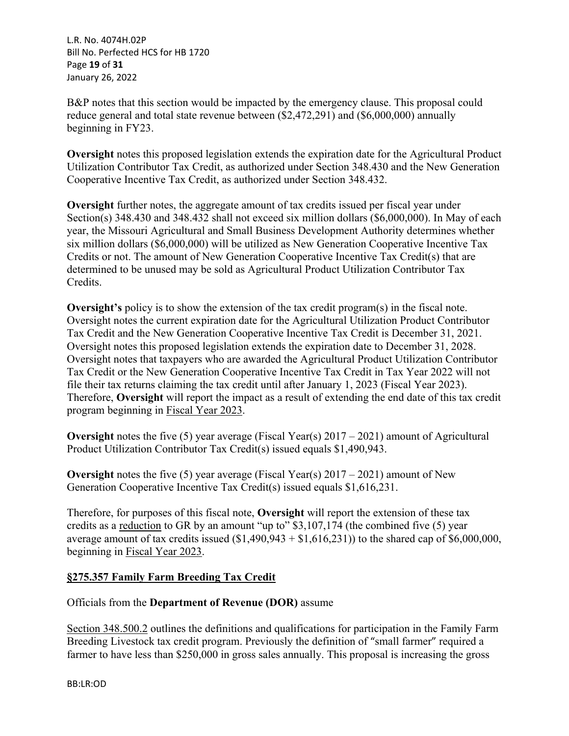L.R. No. 4074H.02P Bill No. Perfected HCS for HB 1720 Page **19** of **31** January 26, 2022

B&P notes that this section would be impacted by the emergency clause. This proposal could reduce general and total state revenue between (\$2,472,291) and (\$6,000,000) annually beginning in FY23.

**Oversight** notes this proposed legislation extends the expiration date for the Agricultural Product Utilization Contributor Tax Credit, as authorized under Section 348.430 and the New Generation Cooperative Incentive Tax Credit, as authorized under Section 348.432.

**Oversight** further notes, the aggregate amount of tax credits issued per fiscal year under Section(s) 348.430 and 348.432 shall not exceed six million dollars (\$6,000,000). In May of each year, the Missouri Agricultural and Small Business Development Authority determines whether six million dollars (\$6,000,000) will be utilized as New Generation Cooperative Incentive Tax Credits or not. The amount of New Generation Cooperative Incentive Tax Credit(s) that are determined to be unused may be sold as Agricultural Product Utilization Contributor Tax Credits.

**Oversight's** policy is to show the extension of the tax credit program(s) in the fiscal note. Oversight notes the current expiration date for the Agricultural Utilization Product Contributor Tax Credit and the New Generation Cooperative Incentive Tax Credit is December 31, 2021. Oversight notes this proposed legislation extends the expiration date to December 31, 2028. Oversight notes that taxpayers who are awarded the Agricultural Product Utilization Contributor Tax Credit or the New Generation Cooperative Incentive Tax Credit in Tax Year 2022 will not file their tax returns claiming the tax credit until after January 1, 2023 (Fiscal Year 2023). Therefore, **Oversight** will report the impact as a result of extending the end date of this tax credit program beginning in Fiscal Year 2023.

**Oversight** notes the five (5) year average (Fiscal Year(s) 2017 – 2021) amount of Agricultural Product Utilization Contributor Tax Credit(s) issued equals \$1,490,943.

**Oversight** notes the five (5) year average (Fiscal Year(s) 2017 – 2021) amount of New Generation Cooperative Incentive Tax Credit(s) issued equals \$1,616,231.

Therefore, for purposes of this fiscal note, **Oversight** will report the extension of these tax credits as a reduction to GR by an amount "up to" \$3,107,174 (the combined five (5) year average amount of tax credits issued  $(\$1,490,943 + \$1,616,231)$  to the shared cap of  $\$6,000,000$ , beginning in Fiscal Year 2023.

# **§275.357 Family Farm Breeding Tax Credit**

# Officials from the **Department of Revenue (DOR)** assume

Section 348.500.2 outlines the definitions and qualifications for participation in the Family Farm Breeding Livestock tax credit program. Previously the definition of "small farmer" required a farmer to have less than \$250,000 in gross sales annually. This proposal is increasing the gross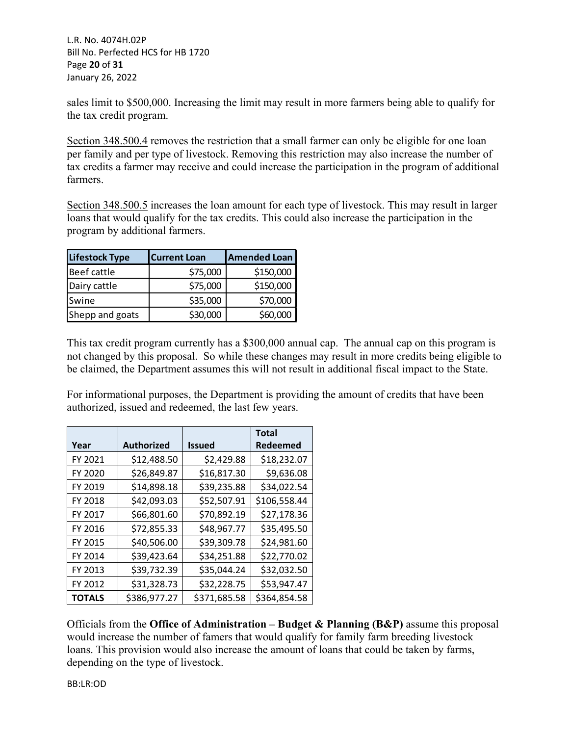L.R. No. 4074H.02P Bill No. Perfected HCS for HB 1720 Page **20** of **31** January 26, 2022

sales limit to \$500,000. Increasing the limit may result in more farmers being able to qualify for the tax credit program.

Section 348.500.4 removes the restriction that a small farmer can only be eligible for one loan per family and per type of livestock. Removing this restriction may also increase the number of tax credits a farmer may receive and could increase the participation in the program of additional farmers.

Section 348.500.5 increases the loan amount for each type of livestock. This may result in larger loans that would qualify for the tax credits. This could also increase the participation in the program by additional farmers.

| <b>Lifestock Type</b> | <b>Current Loan</b> | <b>Amended Loan</b> |
|-----------------------|---------------------|---------------------|
| Beef cattle           | \$75,000            | \$150,000           |
| Dairy cattle          | \$75,000            | \$150,000           |
| Swine                 | \$35,000            | \$70,000            |
| Shepp and goats       | \$30,000            | \$60,000            |

This tax credit program currently has a \$300,000 annual cap. The annual cap on this program is not changed by this proposal. So while these changes may result in more credits being eligible to be claimed, the Department assumes this will not result in additional fiscal impact to the State.

For informational purposes, the Department is providing the amount of credits that have been authorized, issued and redeemed, the last few years.

|               |                   |               | <b>Total</b>    |
|---------------|-------------------|---------------|-----------------|
| Year          | <b>Authorized</b> | <b>Issued</b> | <b>Redeemed</b> |
| FY 2021       | \$12,488.50       | \$2,429.88    | \$18,232.07     |
| FY 2020       | \$26,849.87       | \$16,817.30   | \$9,636.08      |
| FY 2019       | \$14,898.18       | \$39,235.88   | \$34,022.54     |
| FY 2018       | \$42,093.03       | \$52,507.91   | \$106,558.44    |
| FY 2017       | \$66,801.60       | \$70,892.19   | \$27,178.36     |
| FY 2016       | \$72,855.33       | \$48,967.77   | \$35,495.50     |
| FY 2015       | \$40,506.00       | \$39,309.78   | \$24,981.60     |
| FY 2014       | \$39,423.64       | \$34,251.88   | \$22,770.02     |
| FY 2013       | \$39,732.39       | \$35,044.24   | \$32,032.50     |
| FY 2012       | \$31,328.73       | \$32,228.75   | \$53,947.47     |
| <b>TOTALS</b> | \$386,977.27      | \$371,685.58  | \$364,854.58    |

Officials from the **Office of Administration – Budget & Planning (B&P)** assume this proposal would increase the number of famers that would qualify for family farm breeding livestock loans. This provision would also increase the amount of loans that could be taken by farms, depending on the type of livestock.

BB:LR:OD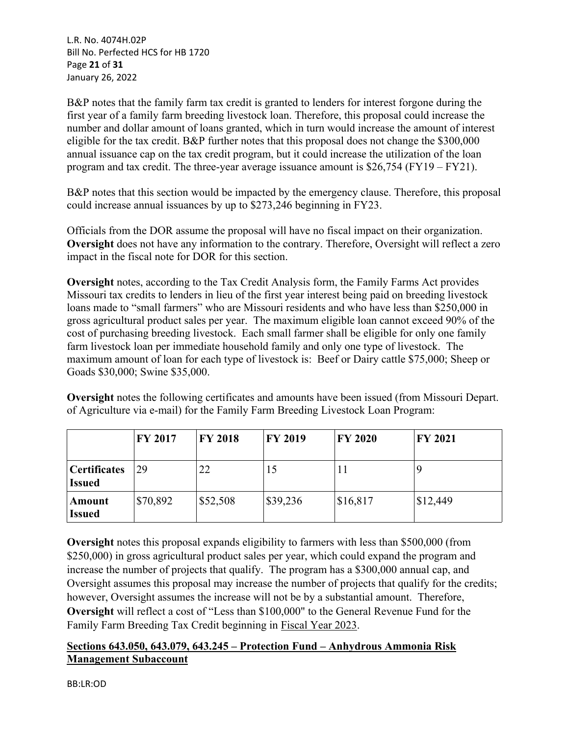L.R. No. 4074H.02P Bill No. Perfected HCS for HB 1720 Page **21** of **31** January 26, 2022

B&P notes that the family farm tax credit is granted to lenders for interest forgone during the first year of a family farm breeding livestock loan. Therefore, this proposal could increase the number and dollar amount of loans granted, which in turn would increase the amount of interest eligible for the tax credit. B&P further notes that this proposal does not change the \$300,000 annual issuance cap on the tax credit program, but it could increase the utilization of the loan program and tax credit. The three-year average issuance amount is \$26,754 (FY19 – FY21).

B&P notes that this section would be impacted by the emergency clause. Therefore, this proposal could increase annual issuances by up to \$273,246 beginning in FY23.

Officials from the DOR assume the proposal will have no fiscal impact on their organization. **Oversight** does not have any information to the contrary. Therefore, Oversight will reflect a zero impact in the fiscal note for DOR for this section.

**Oversight** notes, according to the Tax Credit Analysis form, the Family Farms Act provides Missouri tax credits to lenders in lieu of the first year interest being paid on breeding livestock loans made to "small farmers" who are Missouri residents and who have less than \$250,000 in gross agricultural product sales per year. The maximum eligible loan cannot exceed 90% of the cost of purchasing breeding livestock. Each small farmer shall be eligible for only one family farm livestock loan per immediate household family and only one type of livestock. The maximum amount of loan for each type of livestock is: Beef or Dairy cattle \$75,000; Sheep or Goads \$30,000; Swine \$35,000.

**Oversight** notes the following certificates and amounts have been issued (from Missouri Depart. of Agriculture via e-mail) for the Family Farm Breeding Livestock Loan Program:

|                               | <b>FY 2017</b> | <b>FY 2018</b> | <b>FY 2019</b> | <b>FY 2020</b> | <b>FY 2021</b> |
|-------------------------------|----------------|----------------|----------------|----------------|----------------|
| Certificates<br><b>Issued</b> | 29             | 22             | 15             | 11             |                |
| Amount<br><b>Issued</b>       | \$70,892       | \$52,508       | \$39,236       | \$16,817       | \$12,449       |

**Oversight** notes this proposal expands eligibility to farmers with less than \$500,000 (from \$250,000) in gross agricultural product sales per year, which could expand the program and increase the number of projects that qualify. The program has a \$300,000 annual cap, and Oversight assumes this proposal may increase the number of projects that qualify for the credits; however, Oversight assumes the increase will not be by a substantial amount. Therefore, **Oversight** will reflect a cost of "Less than \$100,000" to the General Revenue Fund for the Family Farm Breeding Tax Credit beginning in Fiscal Year 2023.

# **Sections 643.050, 643.079, 643.245 – Protection Fund – Anhydrous Ammonia Risk Management Subaccount**

BB:LR:OD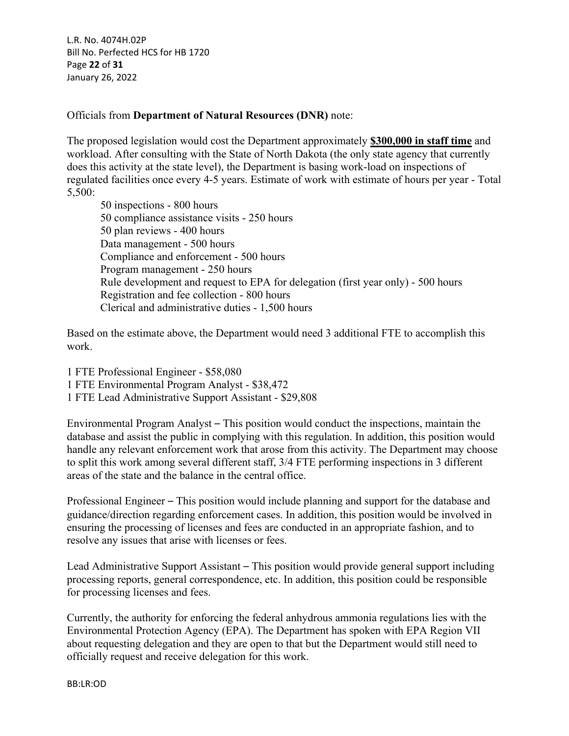L.R. No. 4074H.02P Bill No. Perfected HCS for HB 1720 Page **22** of **31** January 26, 2022

### Officials from **Department of Natural Resources (DNR)** note:

The proposed legislation would cost the Department approximately **\$300,000 in staff time** and workload. After consulting with the State of North Dakota (the only state agency that currently does this activity at the state level), the Department is basing work-load on inspections of regulated facilities once every 4-5 years. Estimate of work with estimate of hours per year - Total 5,500:

50 inspections - 800 hours 50 compliance assistance visits - 250 hours 50 plan reviews - 400 hours Data management - 500 hours Compliance and enforcement - 500 hours Program management - 250 hours Rule development and request to EPA for delegation (first year only) - 500 hours Registration and fee collection - 800 hours Clerical and administrative duties - 1,500 hours

Based on the estimate above, the Department would need 3 additional FTE to accomplish this work.

- 1 FTE Professional Engineer \$58,080
- 1 FTE Environmental Program Analyst \$38,472
- 1 FTE Lead Administrative Support Assistant \$29,808

Environmental Program Analyst – This position would conduct the inspections, maintain the database and assist the public in complying with this regulation. In addition, this position would handle any relevant enforcement work that arose from this activity. The Department may choose to split this work among several different staff, 3/4 FTE performing inspections in 3 different areas of the state and the balance in the central office.

Professional Engineer – This position would include planning and support for the database and guidance/direction regarding enforcement cases. In addition, this position would be involved in ensuring the processing of licenses and fees are conducted in an appropriate fashion, and to resolve any issues that arise with licenses or fees.

Lead Administrative Support Assistant – This position would provide general support including processing reports, general correspondence, etc. In addition, this position could be responsible for processing licenses and fees.

Currently, the authority for enforcing the federal anhydrous ammonia regulations lies with the Environmental Protection Agency (EPA). The Department has spoken with EPA Region VII about requesting delegation and they are open to that but the Department would still need to officially request and receive delegation for this work.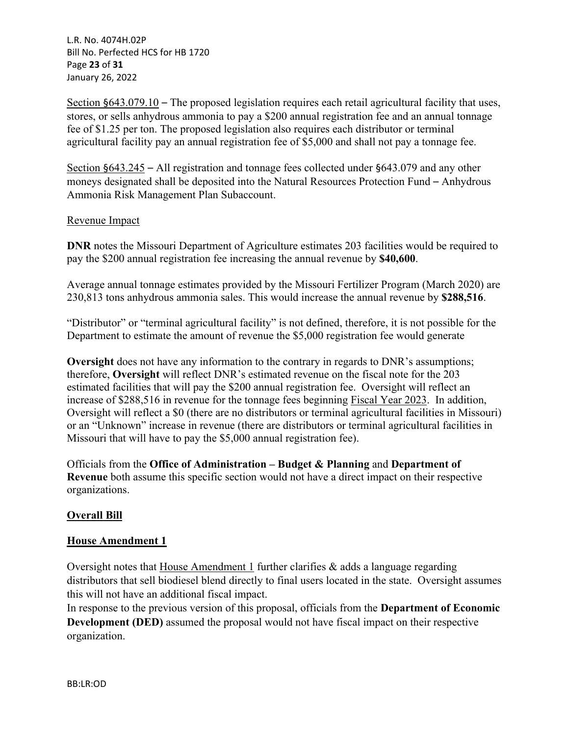L.R. No. 4074H.02P Bill No. Perfected HCS for HB 1720 Page **23** of **31** January 26, 2022

Section §643.079.10 – The proposed legislation requires each retail agricultural facility that uses, stores, or sells anhydrous ammonia to pay a \$200 annual registration fee and an annual tonnage fee of \$1.25 per ton. The proposed legislation also requires each distributor or terminal agricultural facility pay an annual registration fee of \$5,000 and shall not pay a tonnage fee.

Section §643.245 – All registration and tonnage fees collected under §643.079 and any other moneys designated shall be deposited into the Natural Resources Protection Fund – Anhydrous Ammonia Risk Management Plan Subaccount.

### Revenue Impact

**DNR** notes the Missouri Department of Agriculture estimates 203 facilities would be required to pay the \$200 annual registration fee increasing the annual revenue by **\$40,600**.

Average annual tonnage estimates provided by the Missouri Fertilizer Program (March 2020) are 230,813 tons anhydrous ammonia sales. This would increase the annual revenue by **\$288,516**.

"Distributor" or "terminal agricultural facility" is not defined, therefore, it is not possible for the Department to estimate the amount of revenue the \$5,000 registration fee would generate

**Oversight** does not have any information to the contrary in regards to DNR's assumptions; therefore, **Oversight** will reflect DNR's estimated revenue on the fiscal note for the 203 estimated facilities that will pay the \$200 annual registration fee. Oversight will reflect an increase of \$288,516 in revenue for the tonnage fees beginning Fiscal Year 2023. In addition, Oversight will reflect a \$0 (there are no distributors or terminal agricultural facilities in Missouri) or an "Unknown" increase in revenue (there are distributors or terminal agricultural facilities in Missouri that will have to pay the \$5,000 annual registration fee).

Officials from the **Office of Administration – Budget & Planning** and **Department of Revenue** both assume this specific section would not have a direct impact on their respective organizations.

# **Overall Bill**

# **House Amendment 1**

Oversight notes that House Amendment 1 further clarifies & adds a language regarding distributors that sell biodiesel blend directly to final users located in the state. Oversight assumes this will not have an additional fiscal impact.

In response to the previous version of this proposal, officials from the **Department of Economic Development (DED)** assumed the proposal would not have fiscal impact on their respective organization.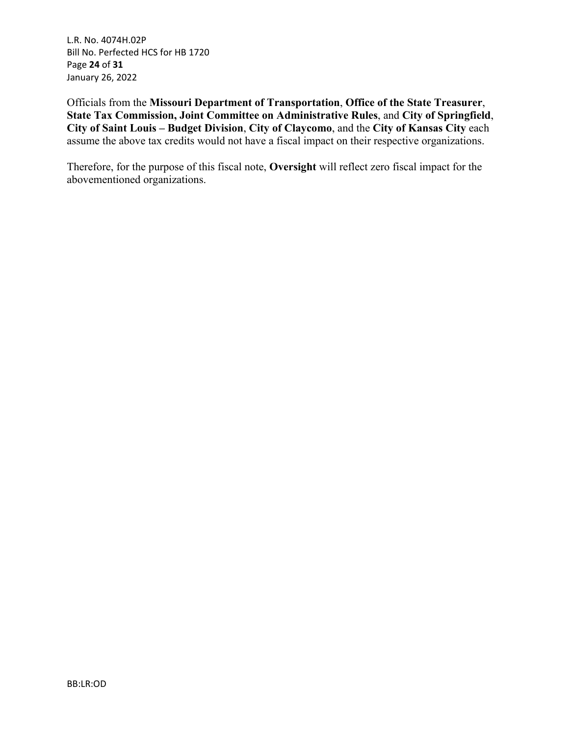L.R. No. 4074H.02P Bill No. Perfected HCS for HB 1720 Page **24** of **31** January 26, 2022

Officials from the **Missouri Department of Transportation**, **Office of the State Treasurer**, **State Tax Commission, Joint Committee on Administrative Rules**, and **City of Springfield**, **City of Saint Louis – Budget Division**, **City of Claycomo**, and the **City of Kansas City** each assume the above tax credits would not have a fiscal impact on their respective organizations.

Therefore, for the purpose of this fiscal note, **Oversight** will reflect zero fiscal impact for the abovementioned organizations.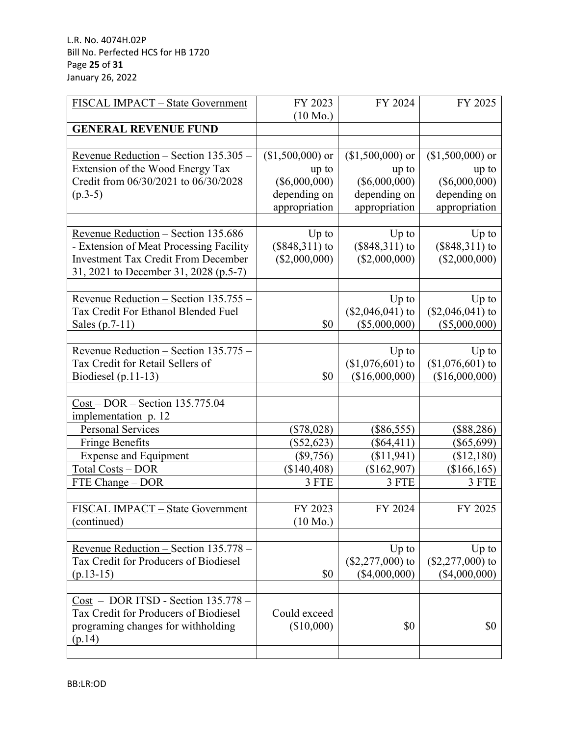| FISCAL IMPACT - State Government                                               | FY 2023                    | FY 2024                    | FY 2025                      |
|--------------------------------------------------------------------------------|----------------------------|----------------------------|------------------------------|
| <b>GENERAL REVENUE FUND</b>                                                    | $(10 \text{ Mo.})$         |                            |                              |
|                                                                                |                            |                            |                              |
| Revenue Reduction - Section 135.305 -<br>Extension of the Wood Energy Tax      | $($1,500,000)$ or<br>up to | $($1,500,000)$ or<br>up to | $($1,500,000)$ or<br>up to   |
| Credit from 06/30/2021 to 06/30/2028                                           | $(\$6,000,000)$            | $(\$6,000,000)$            | $(\$6,000,000)$              |
| $(p.3-5)$                                                                      | depending on               | depending on               | depending on                 |
|                                                                                | appropriation              | appropriation              | appropriation                |
|                                                                                |                            |                            |                              |
| Revenue Reduction - Section 135.686                                            | $Up$ to                    | $Up$ to                    | $Up$ to                      |
| - Extension of Meat Processing Facility                                        | $(\$848,311)$ to           | $($848,311)$ to            | $($848,311)$ to              |
| <b>Investment Tax Credit From December</b>                                     | $(\$2,000,000)$            | $(\$2,000,000)$            | $(\$2,000,000)$              |
| 31, 2021 to December 31, 2028 (p.5-7)                                          |                            |                            |                              |
|                                                                                |                            |                            |                              |
| Revenue Reduction - Section 135.755 -                                          |                            | $Up$ to                    | $Up$ to                      |
| Tax Credit For Ethanol Blended Fuel                                            |                            | $($2,046,041)$ to          | $($2,046,041)$ to            |
| Sales (p.7-11)                                                                 | \$0                        | (\$5,000,000)              | $(\$5,000,000)$              |
|                                                                                |                            |                            |                              |
| Revenue Reduction - Section 135.775 -                                          |                            | $Up$ to                    | $Up$ to                      |
| Tax Credit for Retail Sellers of                                               |                            | $($1,076,601)$ to          | $($1,076,601)$ to            |
| Biodiesel (p.11-13)                                                            | \$0                        | (\$16,000,000)             | (\$16,000,000)               |
|                                                                                |                            |                            |                              |
| $Cost - DOR - Section 135.775.04$<br>implementation p. 12                      |                            |                            |                              |
| Personal Services                                                              | $(\$78,028)$               | $(\$86,555)$               | $(\$88,286)$                 |
| <b>Fringe Benefits</b>                                                         | $(\$52,623)$               | $(\$64,411)$               | $(\$65,699)$                 |
| <b>Expense</b> and Equipment                                                   | $($ \$9,756)               | (\$11, 941)                | (\$12,180)                   |
| Total Costs - DOR                                                              | (\$140,408)                | (\$162,907)                | (\$166, 165)                 |
| FTE Change - DOR                                                               | 3 FTE                      | 3 FTE                      | 3 FTE                        |
|                                                                                |                            |                            |                              |
| FISCAL IMPACT – State Government                                               | FY 2023                    | FY 2024                    | FY 2025                      |
| (continued)                                                                    | $(10 \text{ Mo.})$         |                            |                              |
|                                                                                |                            |                            |                              |
| Revenue Reduction - Section 135.778 -<br>Tax Credit for Producers of Biodiesel |                            | $Up$ to                    | $Up$ to<br>$($2,277,000)$ to |
|                                                                                | \$0                        | $(\$2,277,000)$ to         |                              |
| $(p.13-15)$                                                                    |                            | $(\$4,000,000)$            | $(\$4,000,000)$              |
| Cost - DOR ITSD - Section 135.778 -                                            |                            |                            |                              |
| Tax Credit for Producers of Biodiesel                                          | Could exceed               |                            |                              |
| programing changes for withholding                                             | (\$10,000)                 | \$0                        | \$0                          |
| (p.14)                                                                         |                            |                            |                              |
|                                                                                |                            |                            |                              |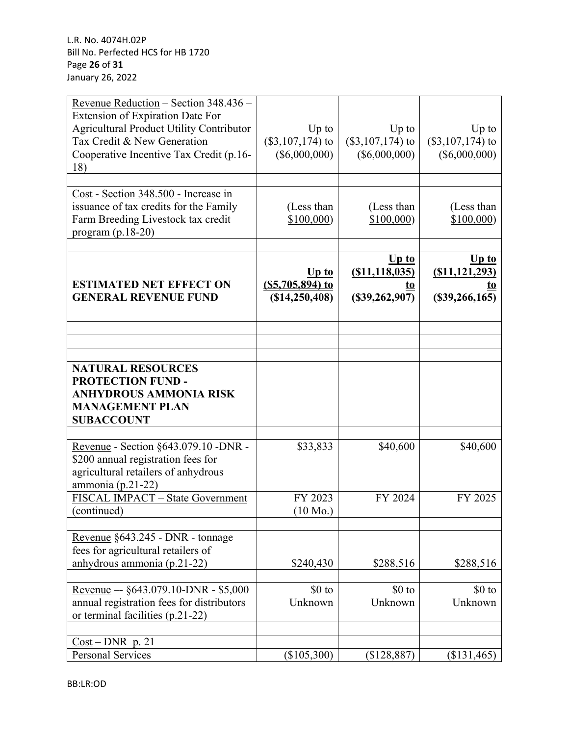| Revenue Reduction - Section 348.436 -<br>Extension of Expiration Date For<br><b>Agricultural Product Utility Contributor</b><br>Tax Credit & New Generation<br>Cooperative Incentive Tax Credit (p.16- | $Up$ to<br>$(\$3,107,174)$ to<br>$(\$6,000,000)$ | $Up$ to<br>$(\$3,107,174)$ to<br>$(\$6,000,000)$           | Up to<br>$(\$3,107,174)$ to<br>$(\$6,000,000)$                                  |
|--------------------------------------------------------------------------------------------------------------------------------------------------------------------------------------------------------|--------------------------------------------------|------------------------------------------------------------|---------------------------------------------------------------------------------|
| 18)                                                                                                                                                                                                    |                                                  |                                                            |                                                                                 |
| Cost - Section 348.500 - Increase in<br>issuance of tax credits for the Family<br>Farm Breeding Livestock tax credit<br>program $(p.18-20)$                                                            | (Less than<br>\$100,000                          | (Less than<br>\$100,000                                    | (Less than<br>\$100,000                                                         |
| <b>ESTIMATED NET EFFECT ON</b><br><b>GENERAL REVENUE FUND</b>                                                                                                                                          | $Up$ to<br>$(S5,705,894)$ to<br>(S14, 250, 408)  | $Up$ to<br>(S11, 118, 035)<br><u>to</u><br>(S39, 262, 907) | $\overline{\mathbf{U}}$ p to<br>(S11, 121, 293)<br><u>LO</u><br>(S39, 266, 165) |
|                                                                                                                                                                                                        |                                                  |                                                            |                                                                                 |
|                                                                                                                                                                                                        |                                                  |                                                            |                                                                                 |
| <b>NATURAL RESOURCES</b><br><b>PROTECTION FUND -</b><br><b>ANHYDROUS AMMONIA RISK</b><br><b>MANAGEMENT PLAN</b><br><b>SUBACCOUNT</b>                                                                   |                                                  |                                                            |                                                                                 |
| Revenue - Section §643.079.10 -DNR -<br>\$200 annual registration fees for<br>agricultural retailers of anhydrous<br>ammonia (p.21-22)                                                                 | \$33,833                                         | \$40,600                                                   | \$40,600                                                                        |
| FISCAL IMPACT - State Government<br>(continued)                                                                                                                                                        | FY 2023<br>$(10 \text{ Mo.})$                    | FY 2024                                                    | FY 2025                                                                         |
| Revenue §643.245 - DNR - tonnage<br>fees for agricultural retailers of<br>anhydrous ammonia (p.21-22)                                                                                                  | \$240,430                                        | \$288,516                                                  | \$288,516                                                                       |
| Revenue -- §643.079.10-DNR - \$5,000<br>annual registration fees for distributors<br>or terminal facilities (p.21-22)                                                                                  | \$0 to<br>Unknown                                | $$0$ to<br>Unknown                                         | $$0$ to<br>Unknown                                                              |
| $Cost$ – DNR p. 21<br><b>Personal Services</b>                                                                                                                                                         | $(\$105,300)$                                    | $(\$128,887)$                                              | (\$131,465)                                                                     |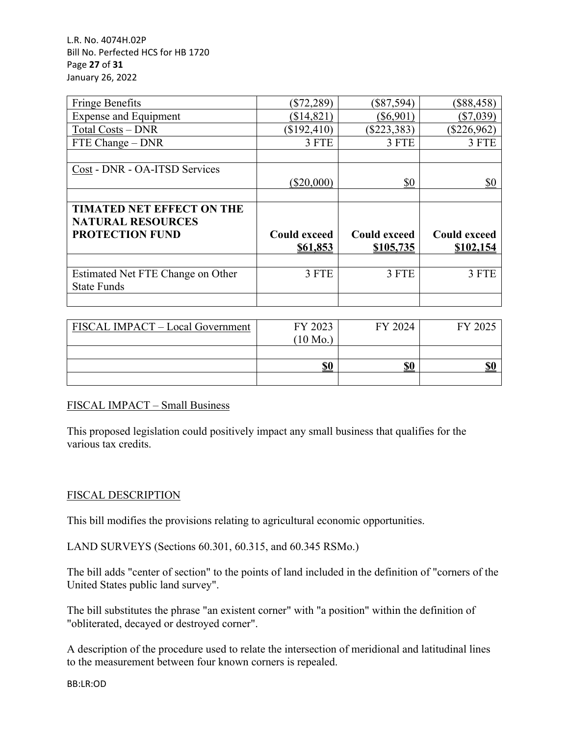L.R. No. 4074H.02P Bill No. Perfected HCS for HB 1720 Page **27** of **31** January 26, 2022

| <b>Fringe Benefits</b>            | $(\$72,289)$        | $(\$87,594)$        | $(\$88,458)$        |
|-----------------------------------|---------------------|---------------------|---------------------|
| <b>Expense and Equipment</b>      | (\$14,821)          | $(\$6,901)$         | $(\$7,039)$         |
| <b>Total Costs - DNR</b>          | $(\$192,410)$       | $(\$223,383)$       | $(\$226,962)$       |
| FTE Change – DNR                  | 3 FTE               | 3 FTE               | 3 FTE               |
|                                   |                     |                     |                     |
| Cost - DNR - OA-ITSD Services     |                     |                     |                     |
|                                   | (\$20,000)          | \$0                 | \$0                 |
|                                   |                     |                     |                     |
| <b>TIMATED NET EFFECT ON THE</b>  |                     |                     |                     |
| <b>NATURAL RESOURCES</b>          |                     |                     |                     |
| <b>PROTECTION FUND</b>            | <b>Could exceed</b> | <b>Could exceed</b> | <b>Could exceed</b> |
|                                   | \$61,853            | \$105,735           | \$102,154           |
|                                   |                     |                     |                     |
| Estimated Net FTE Change on Other | 3 FTE               | 3 FTE               | 3 FTE               |
|                                   |                     |                     |                     |
| <b>State Funds</b>                |                     |                     |                     |

| FISCAL IMPACT - Local Government | FY 2023            | FY 2024 | FY 2025 |
|----------------------------------|--------------------|---------|---------|
|                                  | $(10 \text{ Mo.})$ |         |         |
|                                  |                    |         |         |
|                                  | \$0                | \$0     | \$(     |
|                                  |                    |         |         |

### FISCAL IMPACT – Small Business

This proposed legislation could positively impact any small business that qualifies for the various tax credits.

# FISCAL DESCRIPTION

This bill modifies the provisions relating to agricultural economic opportunities.

LAND SURVEYS (Sections 60.301, 60.315, and 60.345 RSMo.)

The bill adds "center of section" to the points of land included in the definition of "corners of the United States public land survey".

The bill substitutes the phrase "an existent corner" with "a position" within the definition of "obliterated, decayed or destroyed corner".

A description of the procedure used to relate the intersection of meridional and latitudinal lines to the measurement between four known corners is repealed.

BB:LR:OD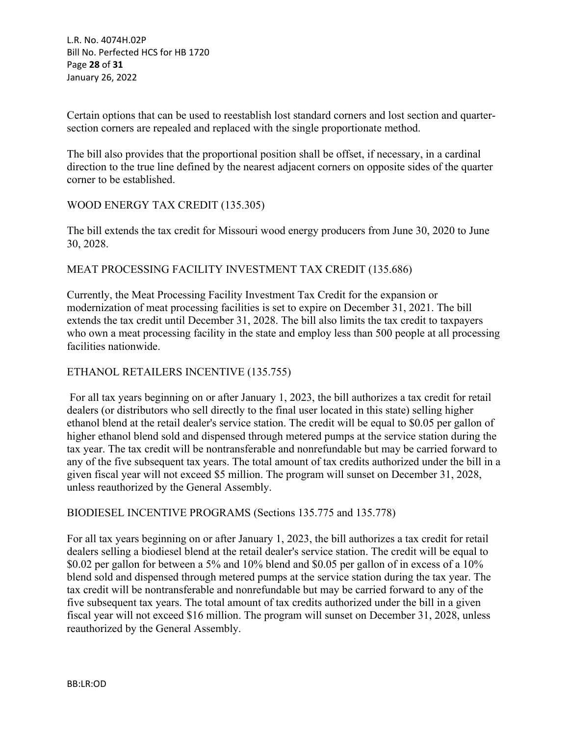L.R. No. 4074H.02P Bill No. Perfected HCS for HB 1720 Page **28** of **31** January 26, 2022

Certain options that can be used to reestablish lost standard corners and lost section and quartersection corners are repealed and replaced with the single proportionate method.

The bill also provides that the proportional position shall be offset, if necessary, in a cardinal direction to the true line defined by the nearest adjacent corners on opposite sides of the quarter corner to be established.

### WOOD ENERGY TAX CREDIT (135.305)

The bill extends the tax credit for Missouri wood energy producers from June 30, 2020 to June 30, 2028.

### MEAT PROCESSING FACILITY INVESTMENT TAX CREDIT (135.686)

Currently, the Meat Processing Facility Investment Tax Credit for the expansion or modernization of meat processing facilities is set to expire on December 31, 2021. The bill extends the tax credit until December 31, 2028. The bill also limits the tax credit to taxpayers who own a meat processing facility in the state and employ less than 500 people at all processing facilities nationwide.

### ETHANOL RETAILERS INCENTIVE (135.755)

 For all tax years beginning on or after January 1, 2023, the bill authorizes a tax credit for retail dealers (or distributors who sell directly to the final user located in this state) selling higher ethanol blend at the retail dealer's service station. The credit will be equal to \$0.05 per gallon of higher ethanol blend sold and dispensed through metered pumps at the service station during the tax year. The tax credit will be nontransferable and nonrefundable but may be carried forward to any of the five subsequent tax years. The total amount of tax credits authorized under the bill in a given fiscal year will not exceed \$5 million. The program will sunset on December 31, 2028, unless reauthorized by the General Assembly.

### BIODIESEL INCENTIVE PROGRAMS (Sections 135.775 and 135.778)

For all tax years beginning on or after January 1, 2023, the bill authorizes a tax credit for retail dealers selling a biodiesel blend at the retail dealer's service station. The credit will be equal to \$0.02 per gallon for between a 5% and 10% blend and \$0.05 per gallon of in excess of a 10% blend sold and dispensed through metered pumps at the service station during the tax year. The tax credit will be nontransferable and nonrefundable but may be carried forward to any of the five subsequent tax years. The total amount of tax credits authorized under the bill in a given fiscal year will not exceed \$16 million. The program will sunset on December 31, 2028, unless reauthorized by the General Assembly.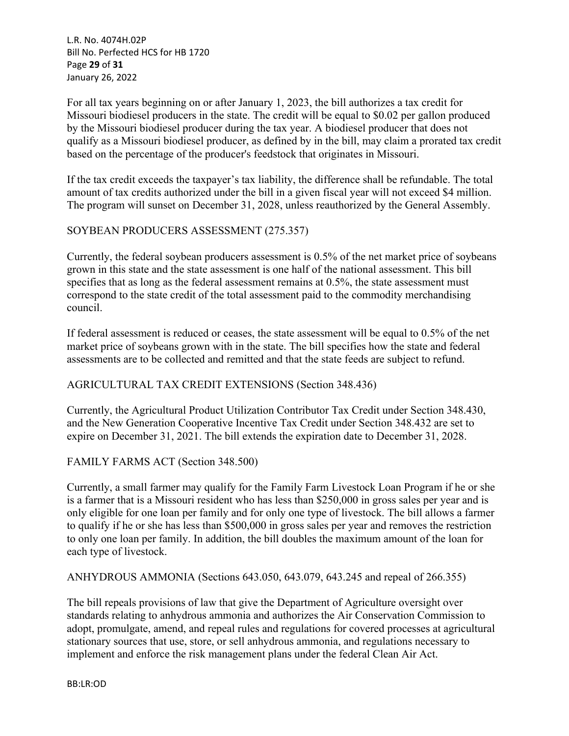L.R. No. 4074H.02P Bill No. Perfected HCS for HB 1720 Page **29** of **31** January 26, 2022

For all tax years beginning on or after January 1, 2023, the bill authorizes a tax credit for Missouri biodiesel producers in the state. The credit will be equal to \$0.02 per gallon produced by the Missouri biodiesel producer during the tax year. A biodiesel producer that does not qualify as a Missouri biodiesel producer, as defined by in the bill, may claim a prorated tax credit based on the percentage of the producer's feedstock that originates in Missouri.

If the tax credit exceeds the taxpayer's tax liability, the difference shall be refundable. The total amount of tax credits authorized under the bill in a given fiscal year will not exceed \$4 million. The program will sunset on December 31, 2028, unless reauthorized by the General Assembly.

### SOYBEAN PRODUCERS ASSESSMENT (275.357)

Currently, the federal soybean producers assessment is 0.5% of the net market price of soybeans grown in this state and the state assessment is one half of the national assessment. This bill specifies that as long as the federal assessment remains at 0.5%, the state assessment must correspond to the state credit of the total assessment paid to the commodity merchandising council.

If federal assessment is reduced or ceases, the state assessment will be equal to 0.5% of the net market price of soybeans grown with in the state. The bill specifies how the state and federal assessments are to be collected and remitted and that the state feeds are subject to refund.

### AGRICULTURAL TAX CREDIT EXTENSIONS (Section 348.436)

Currently, the Agricultural Product Utilization Contributor Tax Credit under Section 348.430, and the New Generation Cooperative Incentive Tax Credit under Section 348.432 are set to expire on December 31, 2021. The bill extends the expiration date to December 31, 2028.

### FAMILY FARMS ACT (Section 348.500)

Currently, a small farmer may qualify for the Family Farm Livestock Loan Program if he or she is a farmer that is a Missouri resident who has less than \$250,000 in gross sales per year and is only eligible for one loan per family and for only one type of livestock. The bill allows a farmer to qualify if he or she has less than \$500,000 in gross sales per year and removes the restriction to only one loan per family. In addition, the bill doubles the maximum amount of the loan for each type of livestock.

### ANHYDROUS AMMONIA (Sections 643.050, 643.079, 643.245 and repeal of 266.355)

The bill repeals provisions of law that give the Department of Agriculture oversight over standards relating to anhydrous ammonia and authorizes the Air Conservation Commission to adopt, promulgate, amend, and repeal rules and regulations for covered processes at agricultural stationary sources that use, store, or sell anhydrous ammonia, and regulations necessary to implement and enforce the risk management plans under the federal Clean Air Act.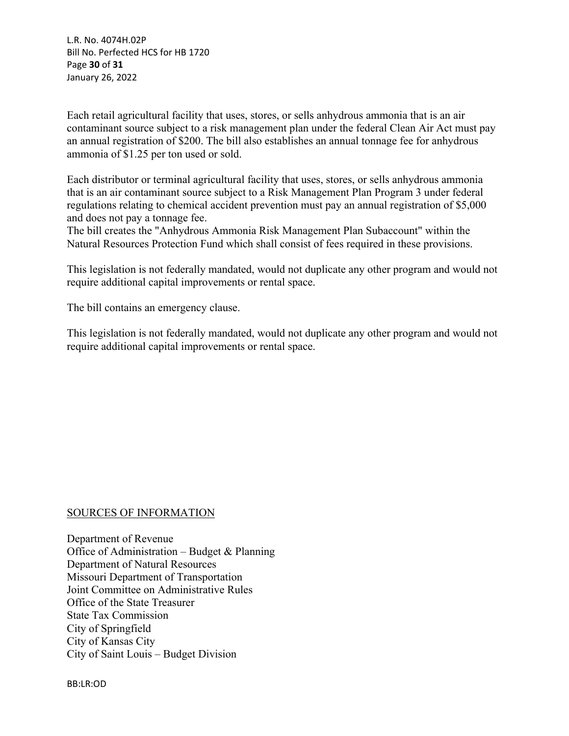L.R. No. 4074H.02P Bill No. Perfected HCS for HB 1720 Page **30** of **31** January 26, 2022

Each retail agricultural facility that uses, stores, or sells anhydrous ammonia that is an air contaminant source subject to a risk management plan under the federal Clean Air Act must pay an annual registration of \$200. The bill also establishes an annual tonnage fee for anhydrous ammonia of \$1.25 per ton used or sold.

Each distributor or terminal agricultural facility that uses, stores, or sells anhydrous ammonia that is an air contaminant source subject to a Risk Management Plan Program 3 under federal regulations relating to chemical accident prevention must pay an annual registration of \$5,000 and does not pay a tonnage fee.

The bill creates the "Anhydrous Ammonia Risk Management Plan Subaccount" within the Natural Resources Protection Fund which shall consist of fees required in these provisions.

This legislation is not federally mandated, would not duplicate any other program and would not require additional capital improvements or rental space.

The bill contains an emergency clause.

This legislation is not federally mandated, would not duplicate any other program and would not require additional capital improvements or rental space.

### SOURCES OF INFORMATION

Department of Revenue Office of Administration – Budget & Planning Department of Natural Resources Missouri Department of Transportation Joint Committee on Administrative Rules Office of the State Treasurer State Tax Commission City of Springfield City of Kansas City City of Saint Louis – Budget Division

BB:LR:OD